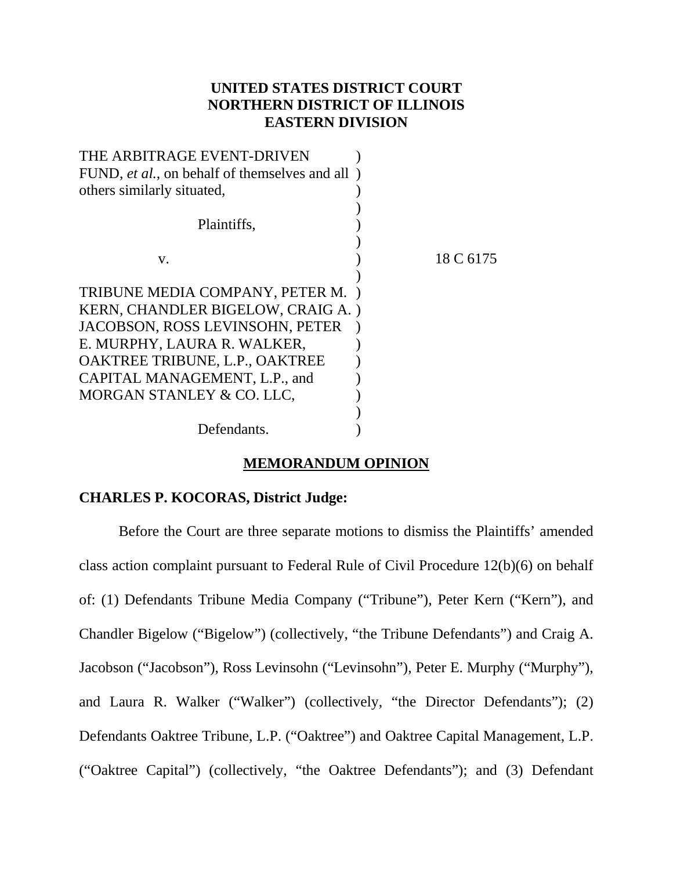# **UNITED STATES DISTRICT COURT NORTHERN DISTRICT OF ILLINOIS EASTERN DIVISION**

| THE ARBITRAGE EVENT-DRIVEN                              |           |
|---------------------------------------------------------|-----------|
| FUND, <i>et al.</i> , on behalf of themselves and all ) |           |
| others similarly situated,                              |           |
|                                                         |           |
| Plaintiffs,                                             |           |
|                                                         |           |
| V.                                                      | 18 C 6175 |
|                                                         |           |
| TRIBUNE MEDIA COMPANY, PETER M.                         |           |
| KERN, CHANDLER BIGELOW, CRAIG A.)                       |           |
| JACOBSON, ROSS LEVINSOHN, PETER                         |           |
| E. MURPHY, LAURA R. WALKER,                             |           |
| OAKTREE TRIBUNE, L.P., OAKTREE                          |           |
| CAPITAL MANAGEMENT, L.P., and                           |           |
| MORGAN STANLEY & CO. LLC,                               |           |
|                                                         |           |
| Defendants.                                             |           |

# **MEMORANDUM OPINION**

# **CHARLES P. KOCORAS, District Judge:**

Before the Court are three separate motions to dismiss the Plaintiffs' amended class action complaint pursuant to Federal Rule of Civil Procedure 12(b)(6) on behalf of: (1) Defendants Tribune Media Company ("Tribune"), Peter Kern ("Kern"), and Chandler Bigelow ("Bigelow") (collectively, "the Tribune Defendants") and Craig A. Jacobson ("Jacobson"), Ross Levinsohn ("Levinsohn"), Peter E. Murphy ("Murphy"), and Laura R. Walker ("Walker") (collectively, "the Director Defendants"); (2) Defendants Oaktree Tribune, L.P. ("Oaktree") and Oaktree Capital Management, L.P. ("Oaktree Capital") (collectively, "the Oaktree Defendants"); and (3) Defendant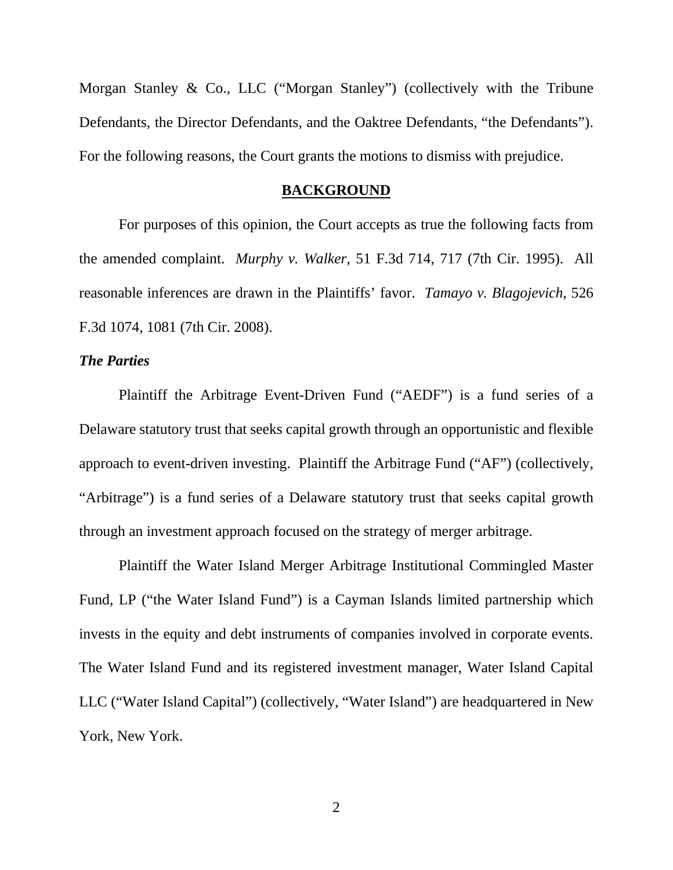Morgan Stanley & Co., LLC ("Morgan Stanley") (collectively with the Tribune Defendants, the Director Defendants, and the Oaktree Defendants, "the Defendants"). For the following reasons, the Court grants the motions to dismiss with prejudice.

#### **BACKGROUND**

For purposes of this opinion, the Court accepts as true the following facts from the amended complaint. *Murphy v. Walker*, 51 F.3d 714, 717 (7th Cir. 1995). All reasonable inferences are drawn in the Plaintiffs' favor. *Tamayo v. Blagojevich*, 526 F.3d 1074, 1081 (7th Cir. 2008).

# *The Parties*

Plaintiff the Arbitrage Event-Driven Fund ("AEDF") is a fund series of a Delaware statutory trust that seeks capital growth through an opportunistic and flexible approach to event-driven investing. Plaintiff the Arbitrage Fund ("AF") (collectively, "Arbitrage") is a fund series of a Delaware statutory trust that seeks capital growth through an investment approach focused on the strategy of merger arbitrage.

Plaintiff the Water Island Merger Arbitrage Institutional Commingled Master Fund, LP ("the Water Island Fund") is a Cayman Islands limited partnership which invests in the equity and debt instruments of companies involved in corporate events. The Water Island Fund and its registered investment manager, Water Island Capital LLC ("Water Island Capital") (collectively, "Water Island") are headquartered in New York, New York.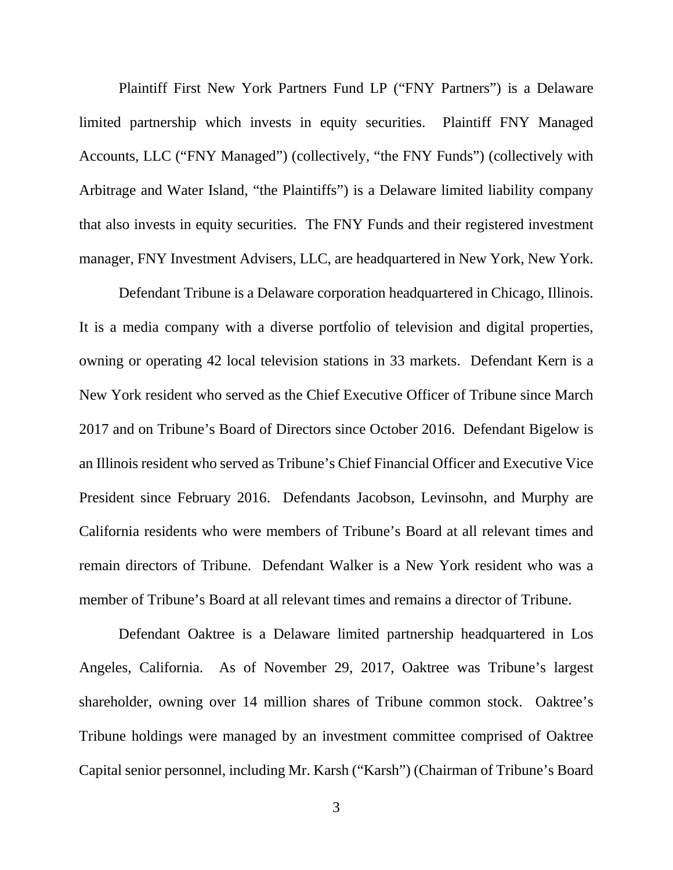Plaintiff First New York Partners Fund LP ("FNY Partners") is a Delaware limited partnership which invests in equity securities. Plaintiff FNY Managed Accounts, LLC ("FNY Managed") (collectively, "the FNY Funds") (collectively with Arbitrage and Water Island, "the Plaintiffs") is a Delaware limited liability company that also invests in equity securities. The FNY Funds and their registered investment manager, FNY Investment Advisers, LLC, are headquartered in New York, New York.

Defendant Tribune is a Delaware corporation headquartered in Chicago, Illinois. It is a media company with a diverse portfolio of television and digital properties, owning or operating 42 local television stations in 33 markets. Defendant Kern is a New York resident who served as the Chief Executive Officer of Tribune since March 2017 and on Tribune's Board of Directors since October 2016. Defendant Bigelow is an Illinois resident who served as Tribune's Chief Financial Officer and Executive Vice President since February 2016. Defendants Jacobson, Levinsohn, and Murphy are California residents who were members of Tribune's Board at all relevant times and remain directors of Tribune. Defendant Walker is a New York resident who was a member of Tribune's Board at all relevant times and remains a director of Tribune.

Defendant Oaktree is a Delaware limited partnership headquartered in Los Angeles, California. As of November 29, 2017, Oaktree was Tribune's largest shareholder, owning over 14 million shares of Tribune common stock. Oaktree's Tribune holdings were managed by an investment committee comprised of Oaktree Capital senior personnel, including Mr. Karsh ("Karsh") (Chairman of Tribune's Board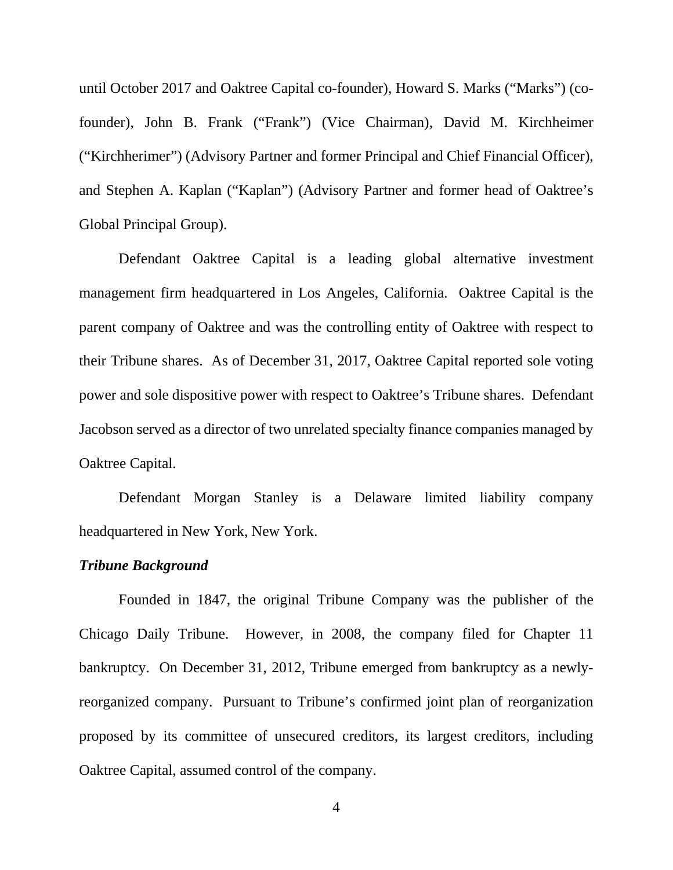until October 2017 and Oaktree Capital co-founder), Howard S. Marks ("Marks") (cofounder), John B. Frank ("Frank") (Vice Chairman), David M. Kirchheimer ("Kirchherimer") (Advisory Partner and former Principal and Chief Financial Officer), and Stephen A. Kaplan ("Kaplan") (Advisory Partner and former head of Oaktree's Global Principal Group).

Defendant Oaktree Capital is a leading global alternative investment management firm headquartered in Los Angeles, California. Oaktree Capital is the parent company of Oaktree and was the controlling entity of Oaktree with respect to their Tribune shares. As of December 31, 2017, Oaktree Capital reported sole voting power and sole dispositive power with respect to Oaktree's Tribune shares. Defendant Jacobson served as a director of two unrelated specialty finance companies managed by Oaktree Capital.

Defendant Morgan Stanley is a Delaware limited liability company headquartered in New York, New York.

### *Tribune Background*

Founded in 1847, the original Tribune Company was the publisher of the Chicago Daily Tribune. However, in 2008, the company filed for Chapter 11 bankruptcy. On December 31, 2012, Tribune emerged from bankruptcy as a newlyreorganized company. Pursuant to Tribune's confirmed joint plan of reorganization proposed by its committee of unsecured creditors, its largest creditors, including Oaktree Capital, assumed control of the company.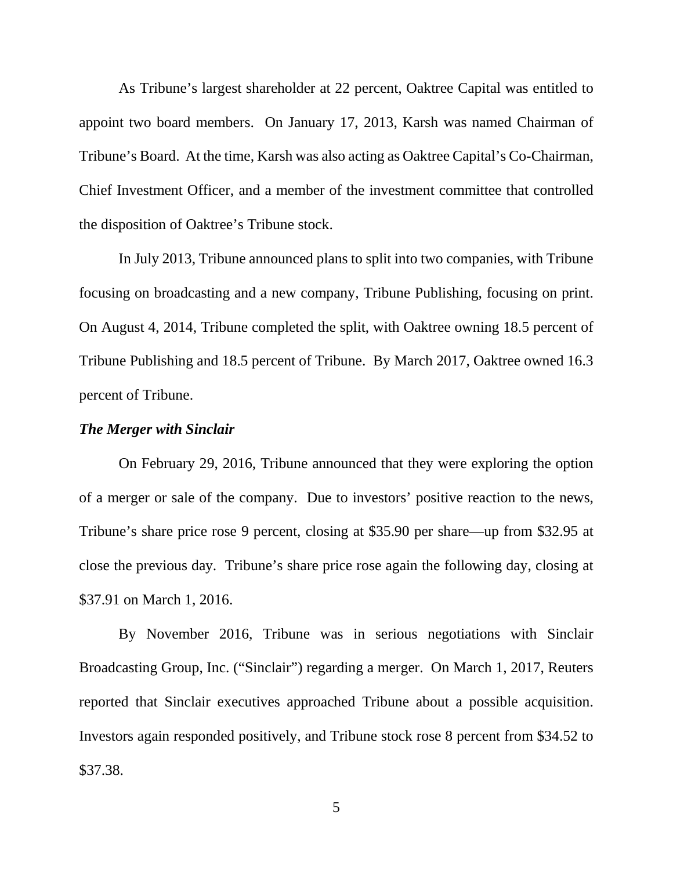As Tribune's largest shareholder at 22 percent, Oaktree Capital was entitled to appoint two board members. On January 17, 2013, Karsh was named Chairman of Tribune's Board. At the time, Karsh was also acting as Oaktree Capital's Co-Chairman, Chief Investment Officer, and a member of the investment committee that controlled the disposition of Oaktree's Tribune stock.

In July 2013, Tribune announced plans to split into two companies, with Tribune focusing on broadcasting and a new company, Tribune Publishing, focusing on print. On August 4, 2014, Tribune completed the split, with Oaktree owning 18.5 percent of Tribune Publishing and 18.5 percent of Tribune. By March 2017, Oaktree owned 16.3 percent of Tribune.

### *The Merger with Sinclair*

On February 29, 2016, Tribune announced that they were exploring the option of a merger or sale of the company. Due to investors' positive reaction to the news, Tribune's share price rose 9 percent, closing at \$35.90 per share—up from \$32.95 at close the previous day. Tribune's share price rose again the following day, closing at \$37.91 on March 1, 2016.

By November 2016, Tribune was in serious negotiations with Sinclair Broadcasting Group, Inc. ("Sinclair") regarding a merger. On March 1, 2017, Reuters reported that Sinclair executives approached Tribune about a possible acquisition. Investors again responded positively, and Tribune stock rose 8 percent from \$34.52 to \$37.38.

5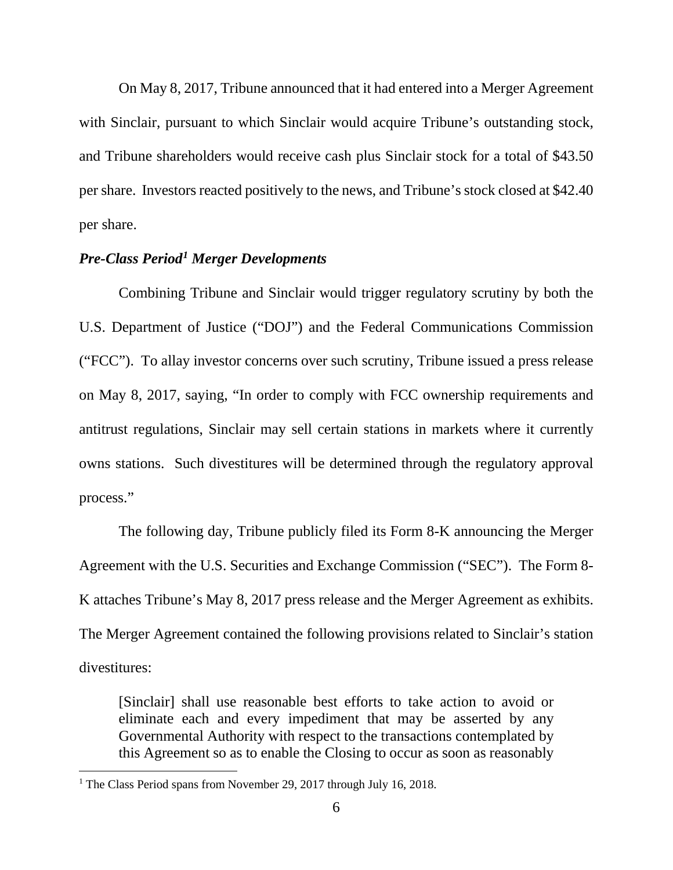On May 8, 2017, Tribune announced that it had entered into a Merger Agreement with Sinclair, pursuant to which Sinclair would acquire Tribune's outstanding stock, and Tribune shareholders would receive cash plus Sinclair stock for a total of \$43.50 per share. Investors reacted positively to the news, and Tribune's stock closed at \$42.40 per share.

# *Pre-Class Period[1](#page-5-0) Merger Developments*

Combining Tribune and Sinclair would trigger regulatory scrutiny by both the U.S. Department of Justice ("DOJ") and the Federal Communications Commission ("FCC"). To allay investor concerns over such scrutiny, Tribune issued a press release on May 8, 2017, saying, "In order to comply with FCC ownership requirements and antitrust regulations, Sinclair may sell certain stations in markets where it currently owns stations. Such divestitures will be determined through the regulatory approval process."

The following day, Tribune publicly filed its Form 8-K announcing the Merger Agreement with the U.S. Securities and Exchange Commission ("SEC"). The Form 8- K attaches Tribune's May 8, 2017 press release and the Merger Agreement as exhibits. The Merger Agreement contained the following provisions related to Sinclair's station divestitures:

[Sinclair] shall use reasonable best efforts to take action to avoid or eliminate each and every impediment that may be asserted by any Governmental Authority with respect to the transactions contemplated by this Agreement so as to enable the Closing to occur as soon as reasonably

l

<span id="page-5-0"></span><sup>&</sup>lt;sup>1</sup> The Class Period spans from November 29, 2017 through July 16, 2018.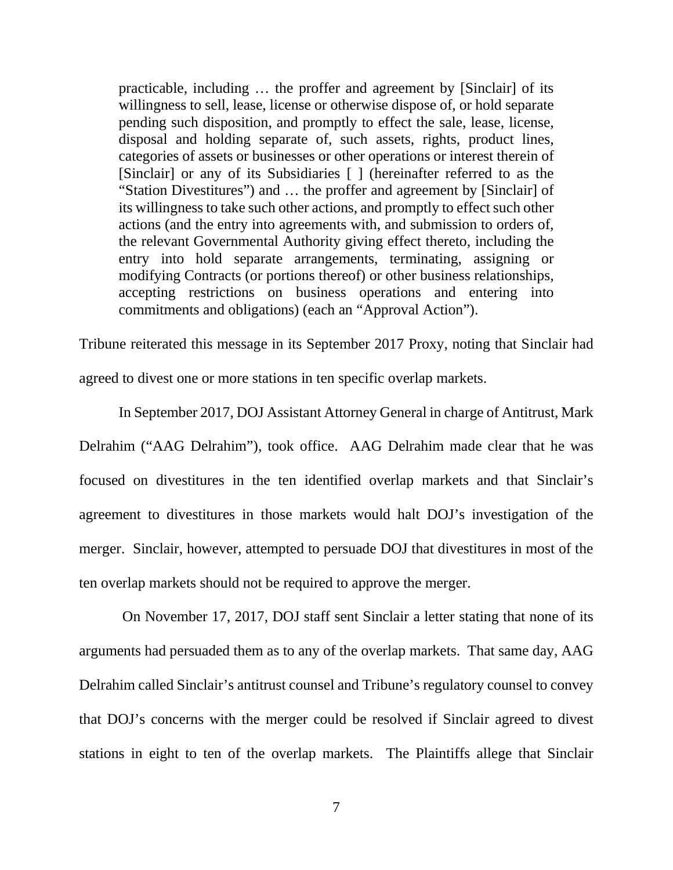practicable, including … the proffer and agreement by [Sinclair] of its willingness to sell, lease, license or otherwise dispose of, or hold separate pending such disposition, and promptly to effect the sale, lease, license, disposal and holding separate of, such assets, rights, product lines, categories of assets or businesses or other operations or interest therein of [Sinclair] or any of its Subsidiaries [ ] (hereinafter referred to as the "Station Divestitures") and … the proffer and agreement by [Sinclair] of its willingness to take such other actions, and promptly to effect such other actions (and the entry into agreements with, and submission to orders of, the relevant Governmental Authority giving effect thereto, including the entry into hold separate arrangements, terminating, assigning or modifying Contracts (or portions thereof) or other business relationships, accepting restrictions on business operations and entering into commitments and obligations) (each an "Approval Action").

Tribune reiterated this message in its September 2017 Proxy, noting that Sinclair had agreed to divest one or more stations in ten specific overlap markets.

In September 2017, DOJ Assistant Attorney General in charge of Antitrust, Mark Delrahim ("AAG Delrahim"), took office. AAG Delrahim made clear that he was focused on divestitures in the ten identified overlap markets and that Sinclair's agreement to divestitures in those markets would halt DOJ's investigation of the merger. Sinclair, however, attempted to persuade DOJ that divestitures in most of the ten overlap markets should not be required to approve the merger.

On November 17, 2017, DOJ staff sent Sinclair a letter stating that none of its arguments had persuaded them as to any of the overlap markets. That same day, AAG Delrahim called Sinclair's antitrust counsel and Tribune's regulatory counsel to convey that DOJ's concerns with the merger could be resolved if Sinclair agreed to divest stations in eight to ten of the overlap markets. The Plaintiffs allege that Sinclair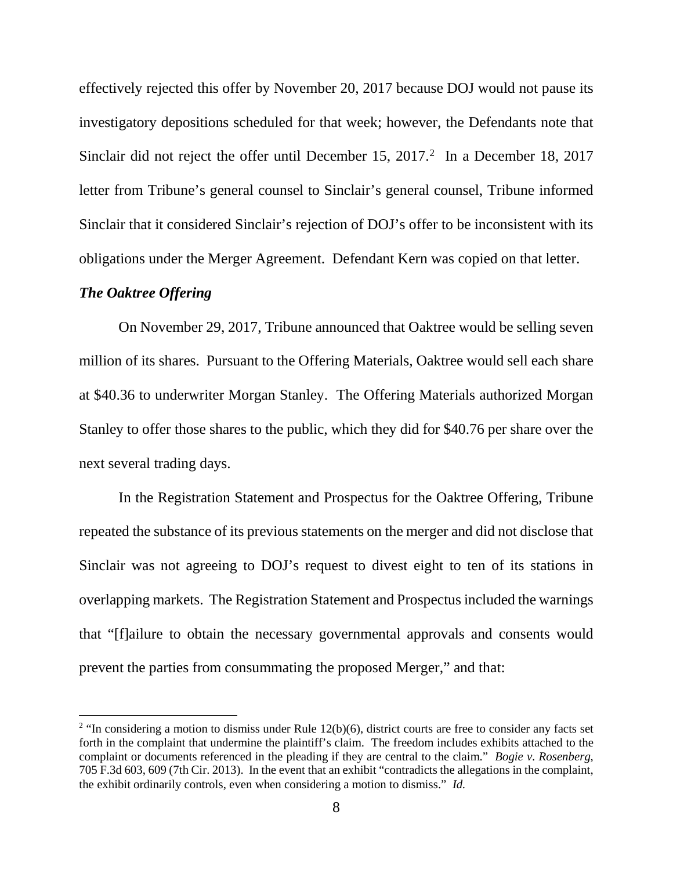effectively rejected this offer by November 20, 2017 because DOJ would not pause its investigatory depositions scheduled for that week; however, the Defendants note that Sinclair did not reject the offer until December 15,  $2017<sup>2</sup>$  In a December 18, 2017 letter from Tribune's general counsel to Sinclair's general counsel, Tribune informed Sinclair that it considered Sinclair's rejection of DOJ's offer to be inconsistent with its obligations under the Merger Agreement. Defendant Kern was copied on that letter.

# *The Oaktree Offering*

l

On November 29, 2017, Tribune announced that Oaktree would be selling seven million of its shares. Pursuant to the Offering Materials, Oaktree would sell each share at \$40.36 to underwriter Morgan Stanley. The Offering Materials authorized Morgan Stanley to offer those shares to the public, which they did for \$40.76 per share over the next several trading days.

In the Registration Statement and Prospectus for the Oaktree Offering, Tribune repeated the substance of its previous statements on the merger and did not disclose that Sinclair was not agreeing to DOJ's request to divest eight to ten of its stations in overlapping markets. The Registration Statement and Prospectus included the warnings that "[f]ailure to obtain the necessary governmental approvals and consents would prevent the parties from consummating the proposed Merger," and that:

<span id="page-7-0"></span><sup>&</sup>lt;sup>2</sup> "In considering a motion to dismiss under Rule  $12(b)(6)$ , district courts are free to consider any facts set forth in the complaint that undermine the plaintiff's claim. The freedom includes exhibits attached to the complaint or documents referenced in the pleading if they are central to the claim." *Bogie v. Rosenberg*, 705 F.3d 603, 609 (7th Cir. 2013). In the event that an exhibit "contradicts the allegations in the complaint, the exhibit ordinarily controls, even when considering a motion to dismiss." *Id.*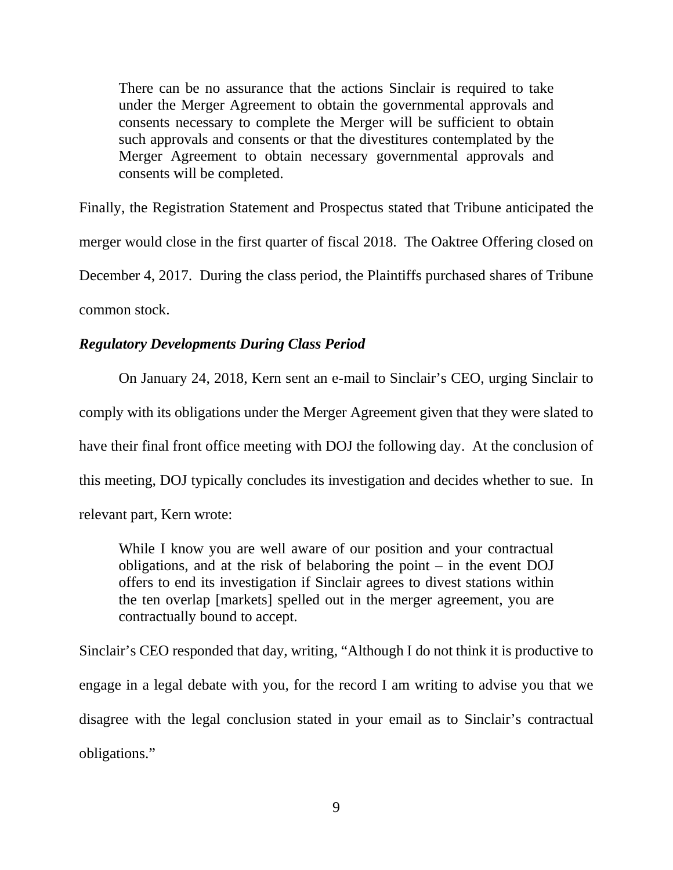There can be no assurance that the actions Sinclair is required to take under the Merger Agreement to obtain the governmental approvals and consents necessary to complete the Merger will be sufficient to obtain such approvals and consents or that the divestitures contemplated by the Merger Agreement to obtain necessary governmental approvals and consents will be completed.

Finally, the Registration Statement and Prospectus stated that Tribune anticipated the merger would close in the first quarter of fiscal 2018. The Oaktree Offering closed on December 4, 2017. During the class period, the Plaintiffs purchased shares of Tribune common stock.

# *Regulatory Developments During Class Period*

On January 24, 2018, Kern sent an e-mail to Sinclair's CEO, urging Sinclair to comply with its obligations under the Merger Agreement given that they were slated to have their final front office meeting with DOJ the following day. At the conclusion of this meeting, DOJ typically concludes its investigation and decides whether to sue. In relevant part, Kern wrote:

While I know you are well aware of our position and your contractual obligations, and at the risk of belaboring the point – in the event DOJ offers to end its investigation if Sinclair agrees to divest stations within the ten overlap [markets] spelled out in the merger agreement, you are contractually bound to accept.

Sinclair's CEO responded that day, writing, "Although I do not think it is productive to engage in a legal debate with you, for the record I am writing to advise you that we disagree with the legal conclusion stated in your email as to Sinclair's contractual obligations."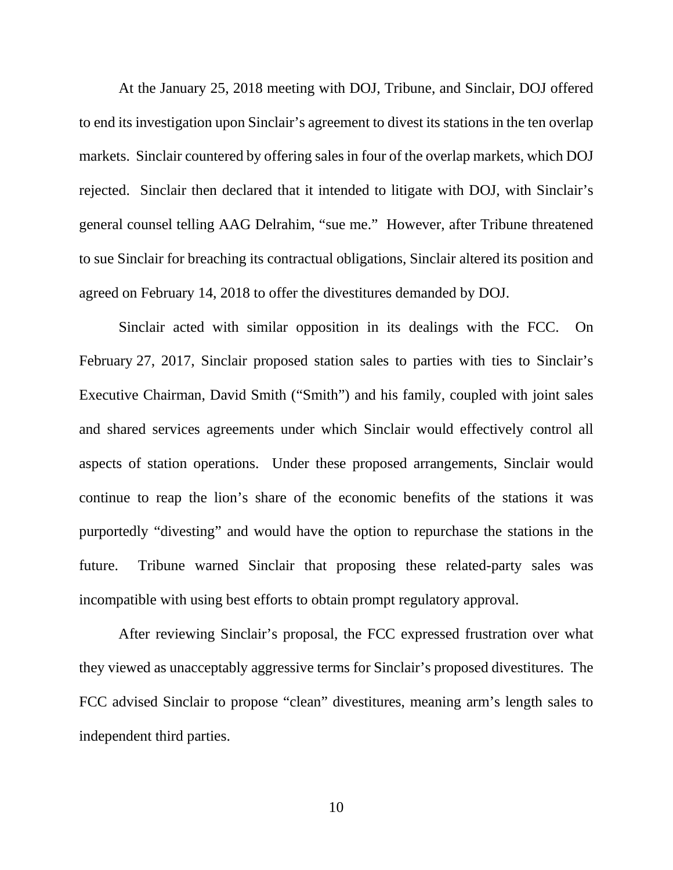At the January 25, 2018 meeting with DOJ, Tribune, and Sinclair, DOJ offered to end its investigation upon Sinclair's agreement to divest its stations in the ten overlap markets. Sinclair countered by offering sales in four of the overlap markets, which DOJ rejected. Sinclair then declared that it intended to litigate with DOJ, with Sinclair's general counsel telling AAG Delrahim, "sue me." However, after Tribune threatened to sue Sinclair for breaching its contractual obligations, Sinclair altered its position and agreed on February 14, 2018 to offer the divestitures demanded by DOJ.

Sinclair acted with similar opposition in its dealings with the FCC. On February 27, 2017, Sinclair proposed station sales to parties with ties to Sinclair's Executive Chairman, David Smith ("Smith") and his family, coupled with joint sales and shared services agreements under which Sinclair would effectively control all aspects of station operations. Under these proposed arrangements, Sinclair would continue to reap the lion's share of the economic benefits of the stations it was purportedly "divesting" and would have the option to repurchase the stations in the future. Tribune warned Sinclair that proposing these related-party sales was incompatible with using best efforts to obtain prompt regulatory approval.

After reviewing Sinclair's proposal, the FCC expressed frustration over what they viewed as unacceptably aggressive terms for Sinclair's proposed divestitures. The FCC advised Sinclair to propose "clean" divestitures, meaning arm's length sales to independent third parties.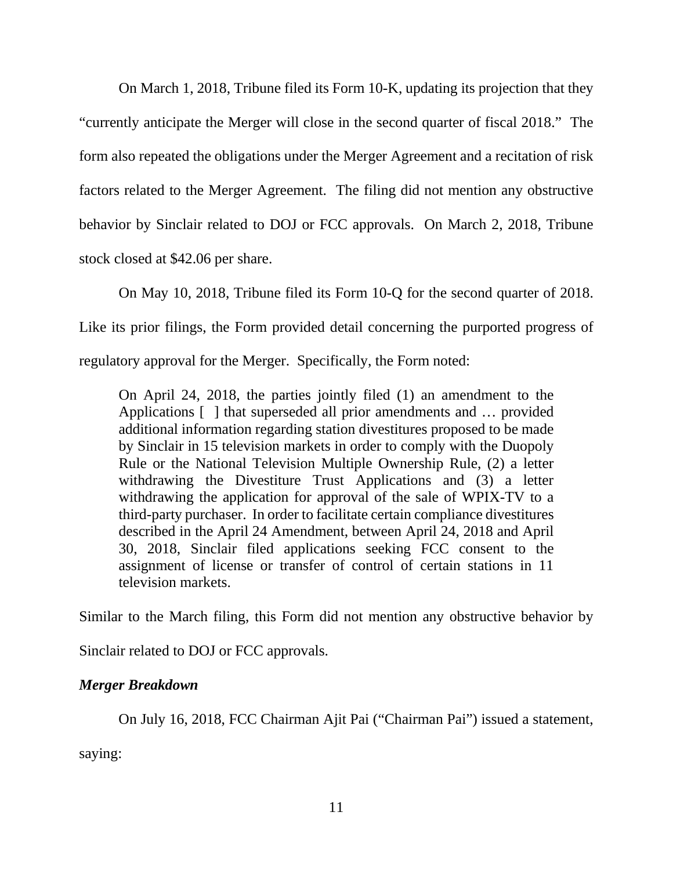On March 1, 2018, Tribune filed its Form 10-K, updating its projection that they "currently anticipate the Merger will close in the second quarter of fiscal 2018." The form also repeated the obligations under the Merger Agreement and a recitation of risk factors related to the Merger Agreement. The filing did not mention any obstructive behavior by Sinclair related to DOJ or FCC approvals. On March 2, 2018, Tribune stock closed at \$42.06 per share.

On May 10, 2018, Tribune filed its Form 10-Q for the second quarter of 2018. Like its prior filings, the Form provided detail concerning the purported progress of regulatory approval for the Merger. Specifically, the Form noted:

On April 24, 2018, the parties jointly filed (1) an amendment to the Applications [ ] that superseded all prior amendments and … provided additional information regarding station divestitures proposed to be made by Sinclair in 15 television markets in order to comply with the Duopoly Rule or the National Television Multiple Ownership Rule, (2) a letter withdrawing the Divestiture Trust Applications and (3) a letter withdrawing the application for approval of the sale of WPIX-TV to a third-party purchaser. In order to facilitate certain compliance divestitures described in the April 24 Amendment, between April 24, 2018 and April 30, 2018, Sinclair filed applications seeking FCC consent to the assignment of license or transfer of control of certain stations in 11 television markets.

Similar to the March filing, this Form did not mention any obstructive behavior by

Sinclair related to DOJ or FCC approvals.

# *Merger Breakdown*

On July 16, 2018, FCC Chairman Ajit Pai ("Chairman Pai") issued a statement,

saying: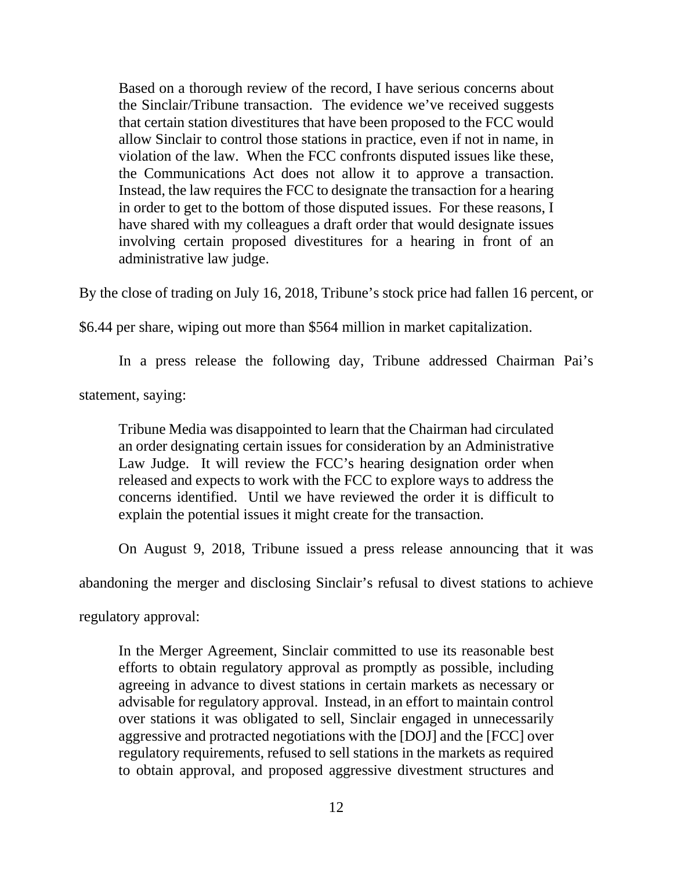Based on a thorough review of the record, I have serious concerns about the Sinclair/Tribune transaction. The evidence we've received suggests that certain station divestitures that have been proposed to the FCC would allow Sinclair to control those stations in practice, even if not in name, in violation of the law. When the FCC confronts disputed issues like these, the Communications Act does not allow it to approve a transaction. Instead, the law requires the FCC to designate the transaction for a hearing in order to get to the bottom of those disputed issues. For these reasons, I have shared with my colleagues a draft order that would designate issues involving certain proposed divestitures for a hearing in front of an administrative law judge.

By the close of trading on July 16, 2018, Tribune's stock price had fallen 16 percent, or

\$6.44 per share, wiping out more than \$564 million in market capitalization.

In a press release the following day, Tribune addressed Chairman Pai's

statement, saying:

Tribune Media was disappointed to learn that the Chairman had circulated an order designating certain issues for consideration by an Administrative Law Judge. It will review the FCC's hearing designation order when released and expects to work with the FCC to explore ways to address the concerns identified. Until we have reviewed the order it is difficult to explain the potential issues it might create for the transaction.

On August 9, 2018, Tribune issued a press release announcing that it was

abandoning the merger and disclosing Sinclair's refusal to divest stations to achieve

regulatory approval:

In the Merger Agreement, Sinclair committed to use its reasonable best efforts to obtain regulatory approval as promptly as possible, including agreeing in advance to divest stations in certain markets as necessary or advisable for regulatory approval. Instead, in an effort to maintain control over stations it was obligated to sell, Sinclair engaged in unnecessarily aggressive and protracted negotiations with the [DOJ] and the [FCC] over regulatory requirements, refused to sell stations in the markets as required to obtain approval, and proposed aggressive divestment structures and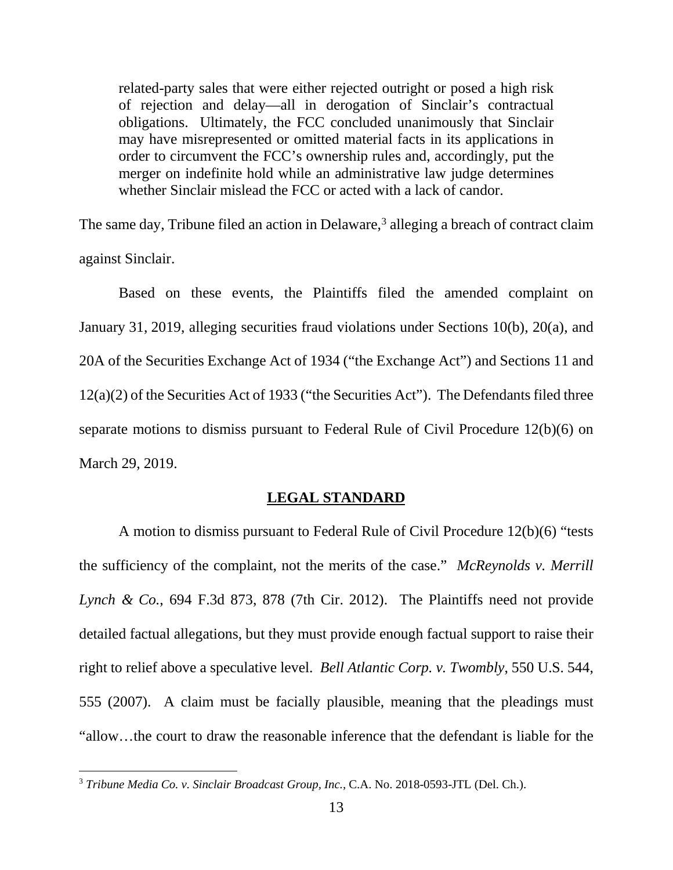related-party sales that were either rejected outright or posed a high risk of rejection and delay—all in derogation of Sinclair's contractual obligations. Ultimately, the FCC concluded unanimously that Sinclair may have misrepresented or omitted material facts in its applications in order to circumvent the FCC's ownership rules and, accordingly, put the merger on indefinite hold while an administrative law judge determines whether Sinclair mislead the FCC or acted with a lack of candor.

The same day, Tribune filed an action in Delaware,<sup>[3](#page-12-0)</sup> alleging a breach of contract claim against Sinclair.

Based on these events, the Plaintiffs filed the amended complaint on January 31, 2019, alleging securities fraud violations under Sections 10(b), 20(a), and 20A of the Securities Exchange Act of 1934 ("the Exchange Act") and Sections 11 and 12(a)(2) of the Securities Act of 1933 ("the Securities Act"). The Defendants filed three separate motions to dismiss pursuant to Federal Rule of Civil Procedure 12(b)(6) on March 29, 2019.

# **LEGAL STANDARD**

A motion to dismiss pursuant to Federal Rule of Civil Procedure 12(b)(6) "tests the sufficiency of the complaint, not the merits of the case." *McReynolds v. Merrill Lynch & Co.*, 694 F.3d 873, 878 (7th Cir. 2012). The Plaintiffs need not provide detailed factual allegations, but they must provide enough factual support to raise their right to relief above a speculative level. *Bell Atlantic Corp. v. Twombly*, 550 U.S. 544, 555 (2007). A claim must be facially plausible, meaning that the pleadings must "allow…the court to draw the reasonable inference that the defendant is liable for the

l

<span id="page-12-0"></span><sup>3</sup> *Tribune Media Co. v. Sinclair Broadcast Group, Inc.*, C.A. No. 2018-0593-JTL (Del. Ch.).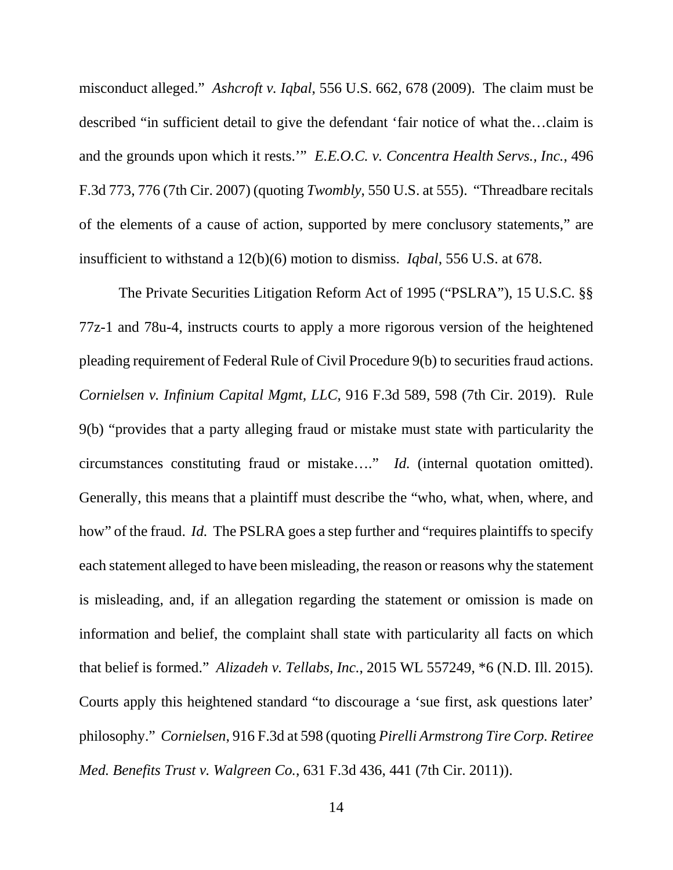misconduct alleged." *Ashcroft v. Iqbal*, 556 U.S. 662, 678 (2009). The claim must be described "in sufficient detail to give the defendant 'fair notice of what the…claim is and the grounds upon which it rests.'" *E.E.O.C. v. Concentra Health Servs., Inc.*, 496 F.3d 773, 776 (7th Cir. 2007) (quoting *Twombly*, 550 U.S. at 555). "Threadbare recitals of the elements of a cause of action, supported by mere conclusory statements," are insufficient to withstand a 12(b)(6) motion to dismiss. *Iqbal*, 556 U.S. at 678.

The Private Securities Litigation Reform Act of 1995 ("PSLRA"), 15 U.S.C. §§ 77z-1 and 78u-4, instructs courts to apply a more rigorous version of the heightened pleading requirement of Federal Rule of Civil Procedure 9(b) to securities fraud actions. *Cornielsen v. Infinium Capital Mgmt, LLC*, 916 F.3d 589, 598 (7th Cir. 2019). Rule 9(b) "provides that a party alleging fraud or mistake must state with particularity the circumstances constituting fraud or mistake…." *Id.* (internal quotation omitted). Generally, this means that a plaintiff must describe the "who, what, when, where, and how" of the fraud. *Id.* The PSLRA goes a step further and "requires plaintiffs to specify each statement alleged to have been misleading, the reason or reasons why the statement is misleading, and, if an allegation regarding the statement or omission is made on information and belief, the complaint shall state with particularity all facts on which that belief is formed." *Alizadeh v. Tellabs, Inc.*, 2015 WL 557249, \*6 (N.D. Ill. 2015). Courts apply this heightened standard "to discourage a 'sue first, ask questions later' philosophy." *Cornielsen*, 916 F.3d at 598 (quoting *Pirelli Armstrong Tire Corp. Retiree Med. Benefits Trust v. Walgreen Co.*, 631 F.3d 436, 441 (7th Cir. 2011)).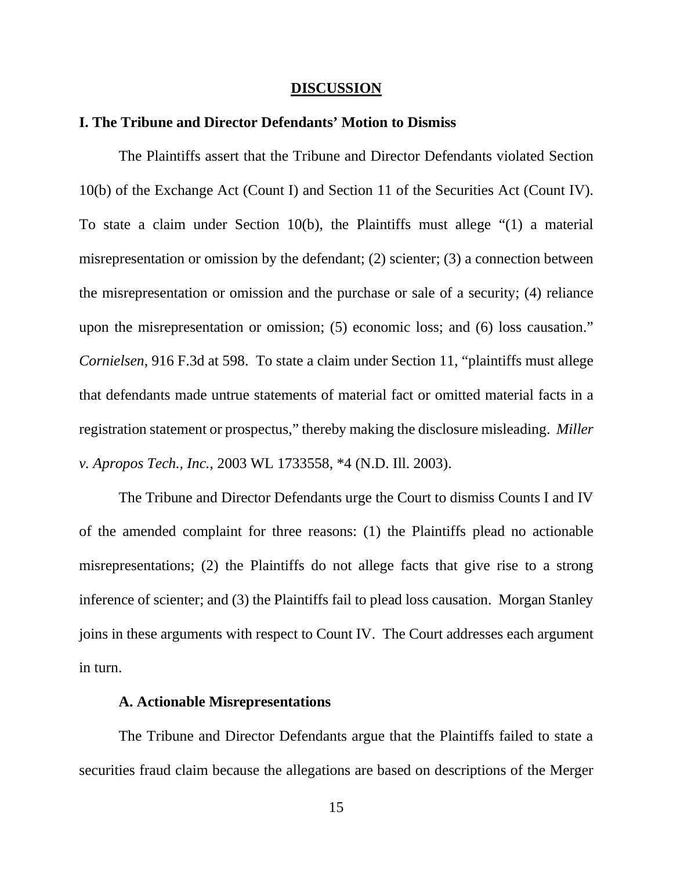#### **DISCUSSION**

# **I. The Tribune and Director Defendants' Motion to Dismiss**

The Plaintiffs assert that the Tribune and Director Defendants violated Section 10(b) of the Exchange Act (Count I) and Section 11 of the Securities Act (Count IV). To state a claim under Section 10(b), the Plaintiffs must allege "(1) a material misrepresentation or omission by the defendant; (2) scienter; (3) a connection between the misrepresentation or omission and the purchase or sale of a security; (4) reliance upon the misrepresentation or omission; (5) economic loss; and (6) loss causation." *Cornielsen*, 916 F.3d at 598. To state a claim under Section 11, "plaintiffs must allege that defendants made untrue statements of material fact or omitted material facts in a registration statement or prospectus," thereby making the disclosure misleading. *Miller v. Apropos Tech., Inc.*, 2003 WL 1733558, \*4 (N.D. Ill. 2003).

The Tribune and Director Defendants urge the Court to dismiss Counts I and IV of the amended complaint for three reasons: (1) the Plaintiffs plead no actionable misrepresentations; (2) the Plaintiffs do not allege facts that give rise to a strong inference of scienter; and (3) the Plaintiffs fail to plead loss causation. Morgan Stanley joins in these arguments with respect to Count IV. The Court addresses each argument in turn.

### **A. Actionable Misrepresentations**

The Tribune and Director Defendants argue that the Plaintiffs failed to state a securities fraud claim because the allegations are based on descriptions of the Merger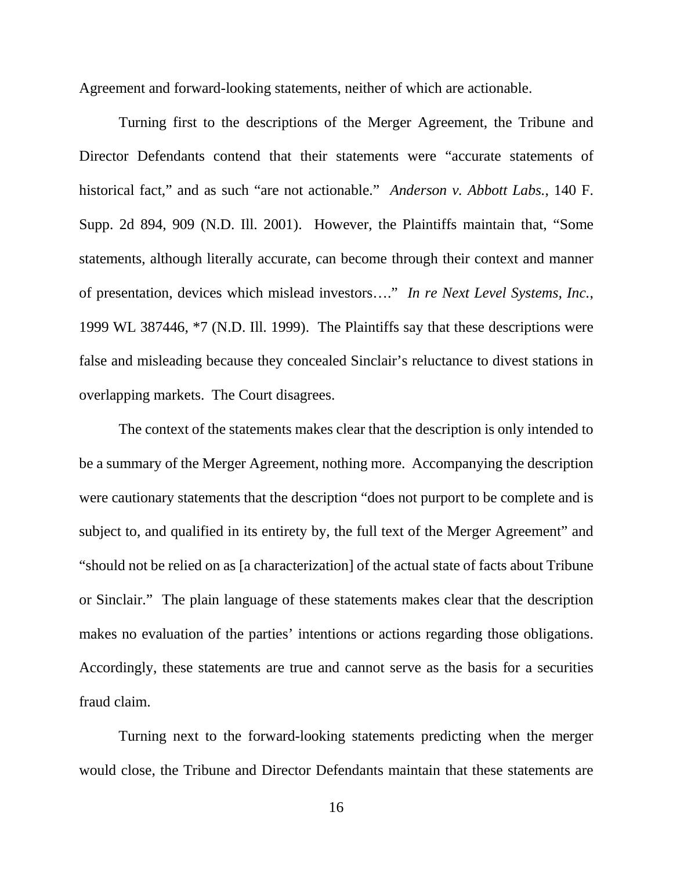Agreement and forward-looking statements, neither of which are actionable.

Turning first to the descriptions of the Merger Agreement, the Tribune and Director Defendants contend that their statements were "accurate statements of historical fact," and as such "are not actionable." *Anderson v. Abbott Labs.*, 140 F. Supp. 2d 894, 909 (N.D. Ill. 2001). However, the Plaintiffs maintain that, "Some statements, although literally accurate, can become through their context and manner of presentation, devices which mislead investors…." *In re Next Level Systems, Inc.*, 1999 WL 387446, \*7 (N.D. Ill. 1999). The Plaintiffs say that these descriptions were false and misleading because they concealed Sinclair's reluctance to divest stations in overlapping markets. The Court disagrees.

The context of the statements makes clear that the description is only intended to be a summary of the Merger Agreement, nothing more. Accompanying the description were cautionary statements that the description "does not purport to be complete and is subject to, and qualified in its entirety by, the full text of the Merger Agreement" and "should not be relied on as [a characterization] of the actual state of facts about Tribune or Sinclair." The plain language of these statements makes clear that the description makes no evaluation of the parties' intentions or actions regarding those obligations. Accordingly, these statements are true and cannot serve as the basis for a securities fraud claim.

Turning next to the forward-looking statements predicting when the merger would close, the Tribune and Director Defendants maintain that these statements are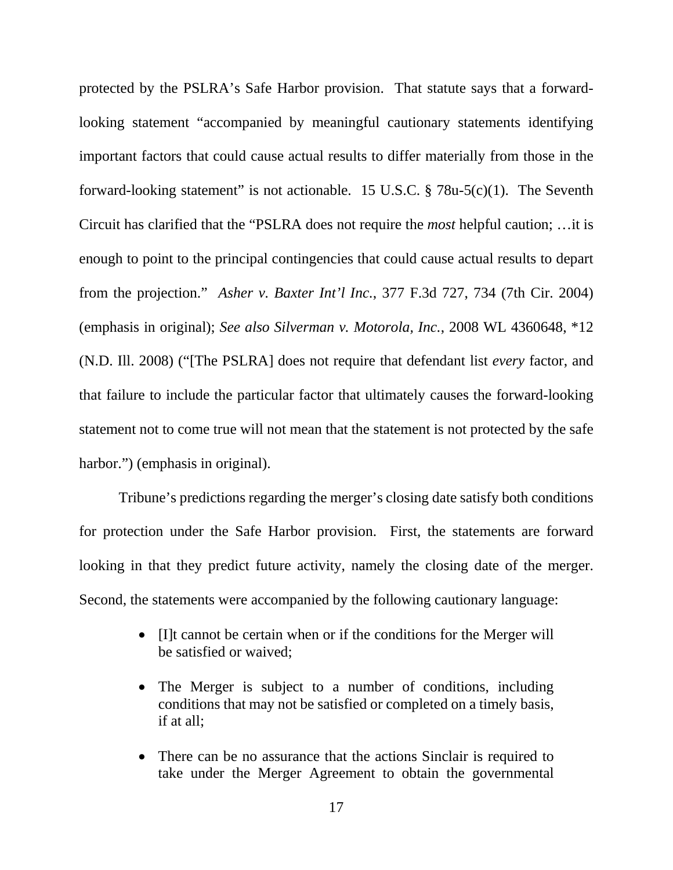protected by the PSLRA's Safe Harbor provision. That statute says that a forwardlooking statement "accompanied by meaningful cautionary statements identifying important factors that could cause actual results to differ materially from those in the forward-looking statement" is not actionable. 15 U.S.C.  $\S$  78u-5(c)(1). The Seventh Circuit has clarified that the "PSLRA does not require the *most* helpful caution; …it is enough to point to the principal contingencies that could cause actual results to depart from the projection." *Asher v. Baxter Int'l Inc.*, 377 F.3d 727, 734 (7th Cir. 2004) (emphasis in original); *See also Silverman v. Motorola, Inc.*, 2008 WL 4360648, \*12 (N.D. Ill. 2008) ("[The PSLRA] does not require that defendant list *every* factor, and that failure to include the particular factor that ultimately causes the forward-looking statement not to come true will not mean that the statement is not protected by the safe harbor.") (emphasis in original).

Tribune's predictions regarding the merger's closing date satisfy both conditions for protection under the Safe Harbor provision. First, the statements are forward looking in that they predict future activity, namely the closing date of the merger. Second, the statements were accompanied by the following cautionary language:

- Ill cannot be certain when or if the conditions for the Merger will be satisfied or waived;
- The Merger is subject to a number of conditions, including conditions that may not be satisfied or completed on a timely basis, if at all;
- There can be no assurance that the actions Sinclair is required to take under the Merger Agreement to obtain the governmental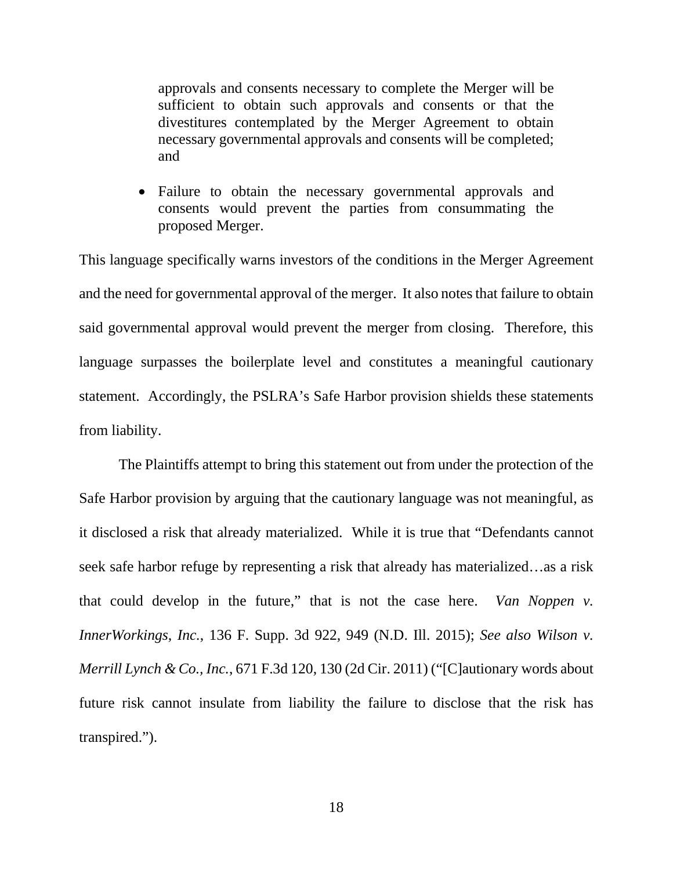approvals and consents necessary to complete the Merger will be sufficient to obtain such approvals and consents or that the divestitures contemplated by the Merger Agreement to obtain necessary governmental approvals and consents will be completed; and

• Failure to obtain the necessary governmental approvals and consents would prevent the parties from consummating the proposed Merger.

This language specifically warns investors of the conditions in the Merger Agreement and the need for governmental approval of the merger. It also notes that failure to obtain said governmental approval would prevent the merger from closing. Therefore, this language surpasses the boilerplate level and constitutes a meaningful cautionary statement. Accordingly, the PSLRA's Safe Harbor provision shields these statements from liability.

The Plaintiffs attempt to bring this statement out from under the protection of the Safe Harbor provision by arguing that the cautionary language was not meaningful, as it disclosed a risk that already materialized. While it is true that "Defendants cannot seek safe harbor refuge by representing a risk that already has materialized…as a risk that could develop in the future," that is not the case here. *Van Noppen v. InnerWorkings, Inc.*, 136 F. Supp. 3d 922, 949 (N.D. Ill. 2015); *See also Wilson v. Merrill Lynch & Co., Inc.*, 671 F.3d 120, 130 (2d Cir. 2011) ("[C]autionary words about future risk cannot insulate from liability the failure to disclose that the risk has transpired.").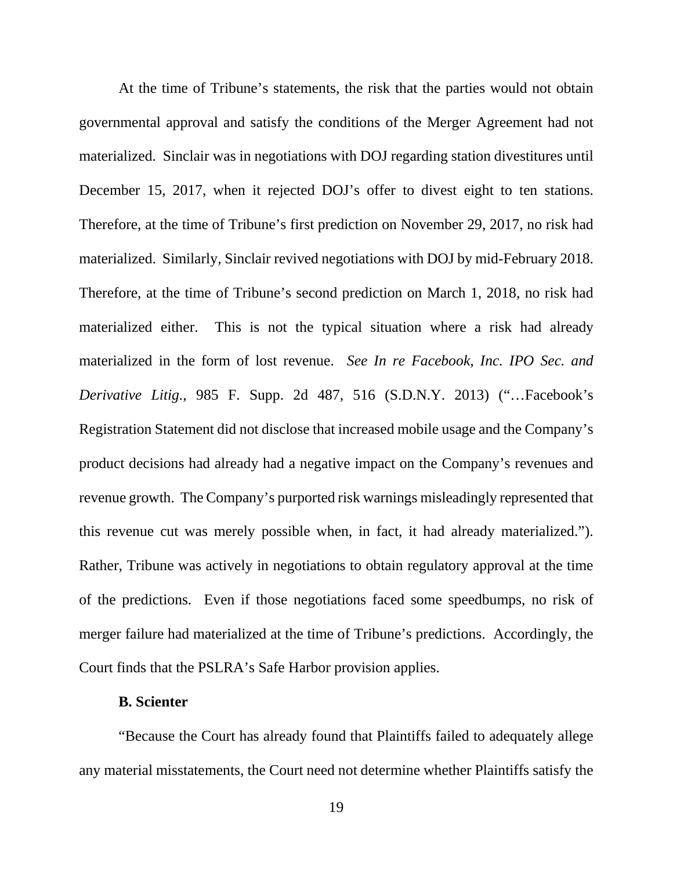At the time of Tribune's statements, the risk that the parties would not obtain governmental approval and satisfy the conditions of the Merger Agreement had not materialized. Sinclair was in negotiations with DOJ regarding station divestitures until December 15, 2017, when it rejected DOJ's offer to divest eight to ten stations. Therefore, at the time of Tribune's first prediction on November 29, 2017, no risk had materialized. Similarly, Sinclair revived negotiations with DOJ by mid-February 2018. Therefore, at the time of Tribune's second prediction on March 1, 2018, no risk had materialized either. This is not the typical situation where a risk had already materialized in the form of lost revenue. *See In re Facebook, Inc. IPO Sec. and Derivative Litig.*, 985 F. Supp. 2d 487, 516 (S.D.N.Y. 2013) ("…Facebook's Registration Statement did not disclose that increased mobile usage and the Company's product decisions had already had a negative impact on the Company's revenues and revenue growth. The Company's purported risk warnings misleadingly represented that this revenue cut was merely possible when, in fact, it had already materialized."). Rather, Tribune was actively in negotiations to obtain regulatory approval at the time of the predictions. Even if those negotiations faced some speedbumps, no risk of merger failure had materialized at the time of Tribune's predictions. Accordingly, the Court finds that the PSLRA's Safe Harbor provision applies.

# **B. Scienter**

"Because the Court has already found that Plaintiffs failed to adequately allege any material misstatements, the Court need not determine whether Plaintiffs satisfy the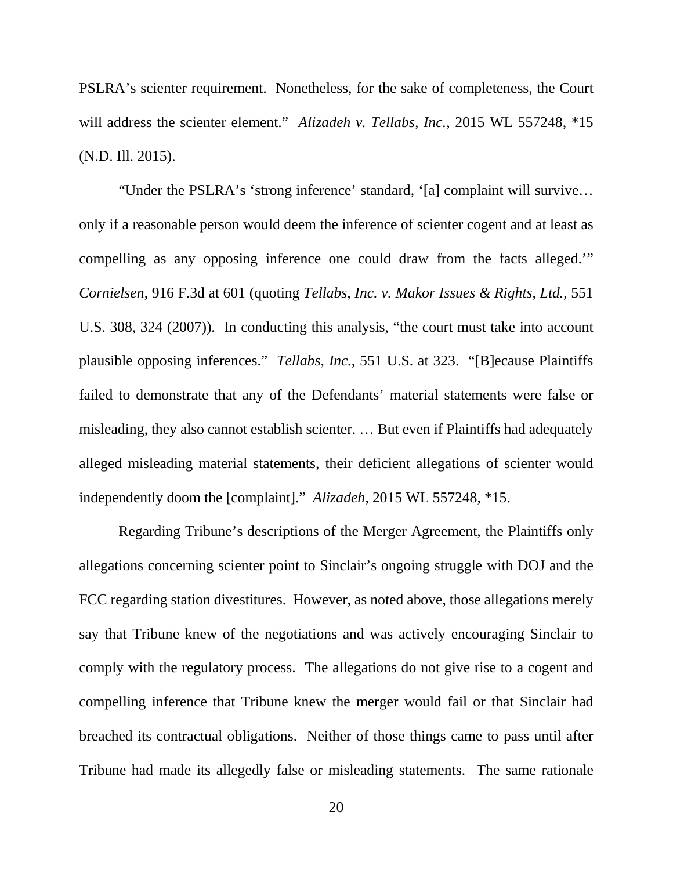PSLRA's scienter requirement. Nonetheless, for the sake of completeness, the Court will address the scienter element." *Alizadeh v. Tellabs, Inc.*, 2015 WL 557248, \*15 (N.D. Ill. 2015).

"Under the PSLRA's 'strong inference' standard, '[a] complaint will survive… only if a reasonable person would deem the inference of scienter cogent and at least as compelling as any opposing inference one could draw from the facts alleged.'" *Cornielsen*, 916 F.3d at 601 (quoting *Tellabs, Inc. v. Makor Issues & Rights, Ltd.*, 551 U.S. 308, 324 (2007)). In conducting this analysis, "the court must take into account plausible opposing inferences." *Tellabs, Inc.*, 551 U.S. at 323. "[B]ecause Plaintiffs failed to demonstrate that any of the Defendants' material statements were false or misleading, they also cannot establish scienter. … But even if Plaintiffs had adequately alleged misleading material statements, their deficient allegations of scienter would independently doom the [complaint]." *Alizadeh*, 2015 WL 557248, \*15.

Regarding Tribune's descriptions of the Merger Agreement, the Plaintiffs only allegations concerning scienter point to Sinclair's ongoing struggle with DOJ and the FCC regarding station divestitures. However, as noted above, those allegations merely say that Tribune knew of the negotiations and was actively encouraging Sinclair to comply with the regulatory process. The allegations do not give rise to a cogent and compelling inference that Tribune knew the merger would fail or that Sinclair had breached its contractual obligations. Neither of those things came to pass until after Tribune had made its allegedly false or misleading statements. The same rationale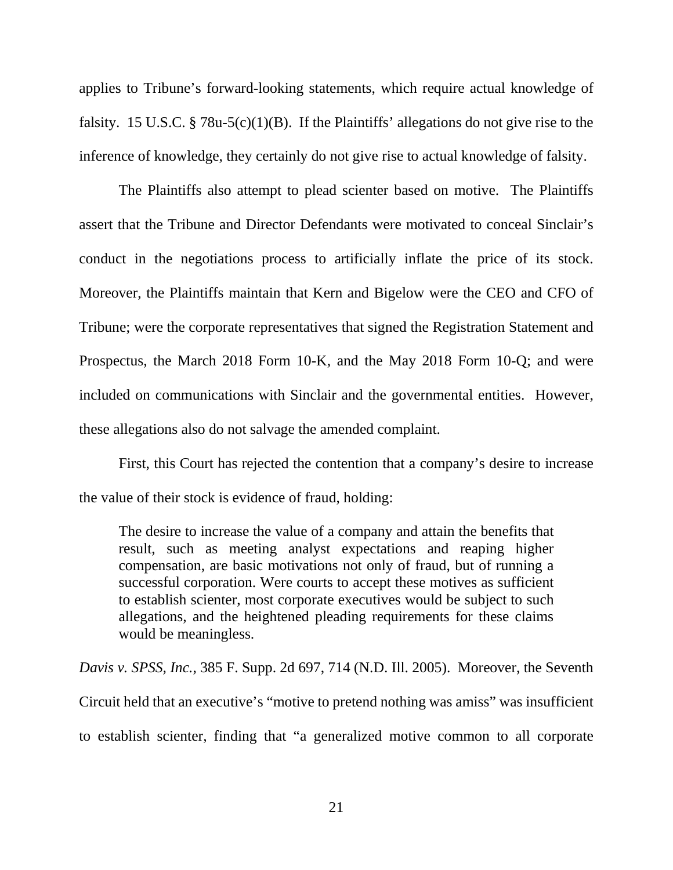applies to Tribune's forward-looking statements, which require actual knowledge of falsity. 15 U.S.C. § 78u-5(c)(1)(B). If the Plaintiffs' allegations do not give rise to the inference of knowledge, they certainly do not give rise to actual knowledge of falsity.

The Plaintiffs also attempt to plead scienter based on motive. The Plaintiffs assert that the Tribune and Director Defendants were motivated to conceal Sinclair's conduct in the negotiations process to artificially inflate the price of its stock. Moreover, the Plaintiffs maintain that Kern and Bigelow were the CEO and CFO of Tribune; were the corporate representatives that signed the Registration Statement and Prospectus, the March 2018 Form 10-K, and the May 2018 Form 10-Q; and were included on communications with Sinclair and the governmental entities. However, these allegations also do not salvage the amended complaint.

First, this Court has rejected the contention that a company's desire to increase the value of their stock is evidence of fraud, holding:

The desire to increase the value of a company and attain the benefits that result, such as meeting analyst expectations and reaping higher compensation, are basic motivations not only of fraud, but of running a successful corporation. Were courts to accept these motives as sufficient to establish scienter, most corporate executives would be subject to such allegations, and the heightened pleading requirements for these claims would be meaningless.

*Davis v. SPSS, Inc.*, 385 F. Supp. 2d 697, 714 (N.D. Ill. 2005). Moreover, the Seventh Circuit held that an executive's "motive to pretend nothing was amiss" was insufficient to establish scienter, finding that "a generalized motive common to all corporate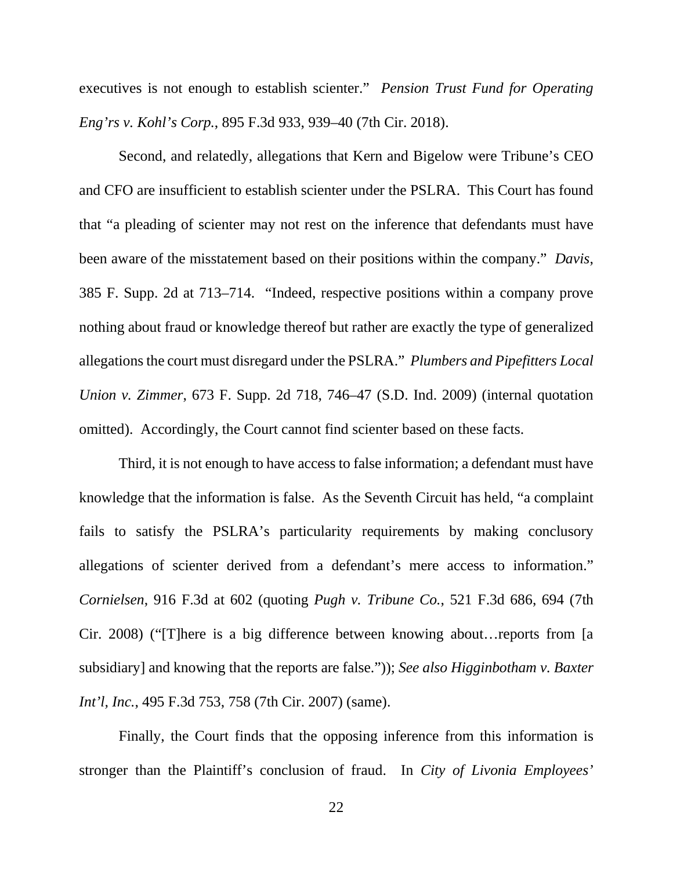executives is not enough to establish scienter." *Pension Trust Fund for Operating Eng'rs v. Kohl's Corp.*, 895 F.3d 933, 939–40 (7th Cir. 2018).

Second, and relatedly, allegations that Kern and Bigelow were Tribune's CEO and CFO are insufficient to establish scienter under the PSLRA. This Court has found that "a pleading of scienter may not rest on the inference that defendants must have been aware of the misstatement based on their positions within the company." *Davis*, 385 F. Supp. 2d at 713–714. "Indeed, respective positions within a company prove nothing about fraud or knowledge thereof but rather are exactly the type of generalized allegations the court must disregard under the PSLRA." *Plumbers and Pipefitters Local Union v. Zimmer*, 673 F. Supp. 2d 718, 746–47 (S.D. Ind. 2009) (internal quotation omitted). Accordingly, the Court cannot find scienter based on these facts.

Third, it is not enough to have access to false information; a defendant must have knowledge that the information is false. As the Seventh Circuit has held, "a complaint fails to satisfy the PSLRA's particularity requirements by making conclusory allegations of scienter derived from a defendant's mere access to information." *Cornielsen*, 916 F.3d at 602 (quoting *Pugh v. Tribune Co.*, 521 F.3d 686, 694 (7th Cir. 2008) ("[T]here is a big difference between knowing about…reports from [a subsidiary] and knowing that the reports are false.")); *See also Higginbotham v. Baxter Int'l, Inc.*, 495 F.3d 753, 758 (7th Cir. 2007) (same).

Finally, the Court finds that the opposing inference from this information is stronger than the Plaintiff's conclusion of fraud. In *City of Livonia Employees'*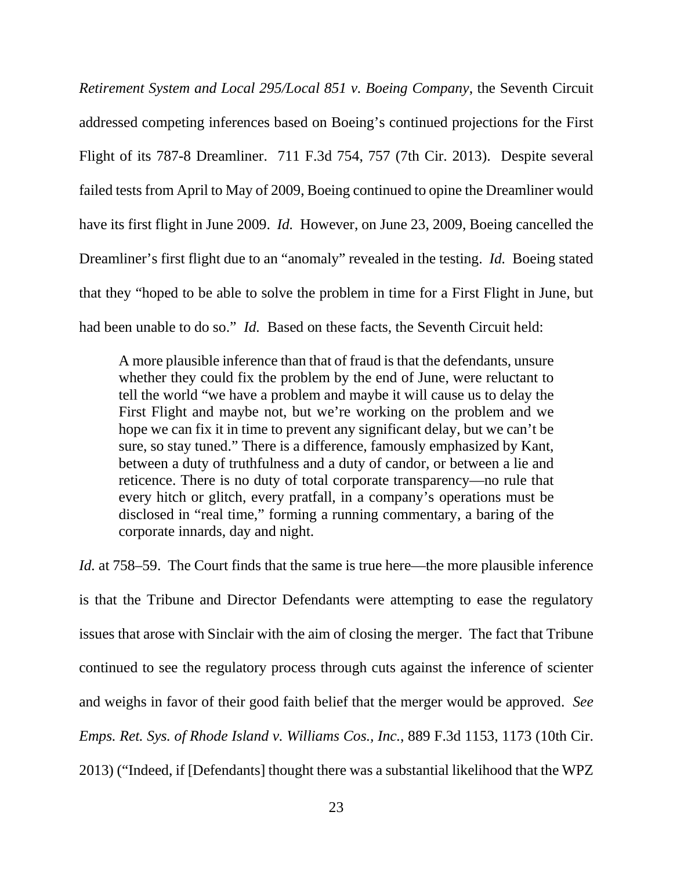*Retirement System and Local 295/Local 851 v. Boeing Company*, the Seventh Circuit addressed competing inferences based on Boeing's continued projections for the First Flight of its 787-8 Dreamliner. 711 F.3d 754, 757 (7th Cir. 2013). Despite several failed tests from April to May of 2009, Boeing continued to opine the Dreamliner would have its first flight in June 2009. *Id.* However, on June 23, 2009, Boeing cancelled the Dreamliner's first flight due to an "anomaly" revealed in the testing. *Id.* Boeing stated that they "hoped to be able to solve the problem in time for a First Flight in June, but had been unable to do so." *Id.* Based on these facts, the Seventh Circuit held:

A more plausible inference than that of fraud is that the defendants, unsure whether they could fix the problem by the end of June, were reluctant to tell the world "we have a problem and maybe it will cause us to delay the First Flight and maybe not, but we're working on the problem and we hope we can fix it in time to prevent any significant delay, but we can't be sure, so stay tuned." There is a difference, famously emphasized by Kant, between a duty of truthfulness and a duty of candor, or between a lie and reticence. There is no duty of total corporate transparency—no rule that every hitch or glitch, every pratfall, in a company's operations must be disclosed in "real time," forming a running commentary, a baring of the corporate innards, day and night.

*Id.* at 758–59. The Court finds that the same is true here—the more plausible inference is that the Tribune and Director Defendants were attempting to ease the regulatory issues that arose with Sinclair with the aim of closing the merger. The fact that Tribune continued to see the regulatory process through cuts against the inference of scienter and weighs in favor of their good faith belief that the merger would be approved. *See Emps. Ret. Sys. of Rhode Island v. Williams Cos., Inc.*, 889 F.3d 1153, 1173 (10th Cir. 2013) ("Indeed, if [Defendants] thought there was a substantial likelihood that the WPZ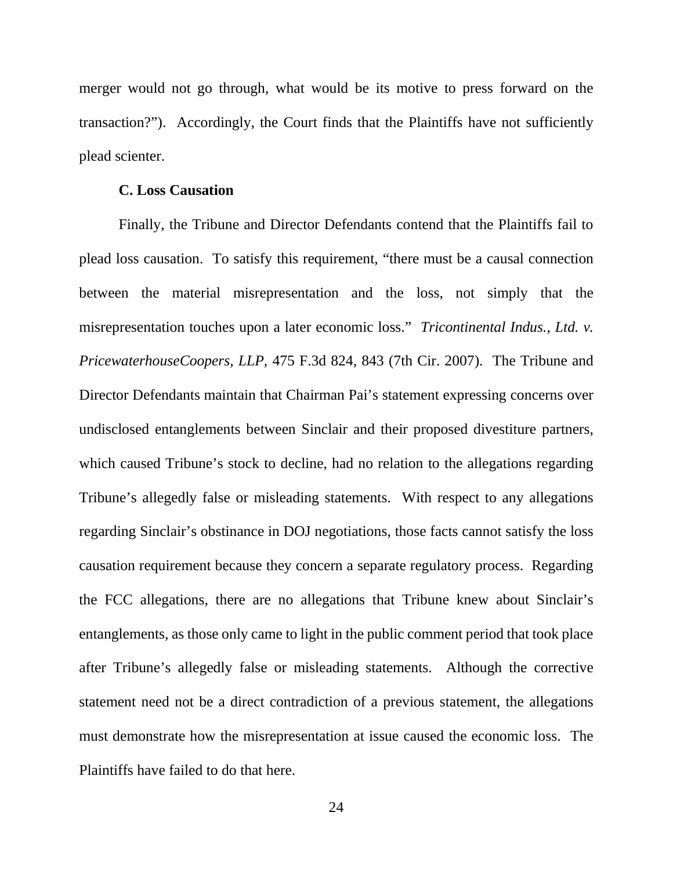merger would not go through, what would be its motive to press forward on the transaction?"). Accordingly, the Court finds that the Plaintiffs have not sufficiently plead scienter.

### **C. Loss Causation**

Finally, the Tribune and Director Defendants contend that the Plaintiffs fail to plead loss causation. To satisfy this requirement, "there must be a causal connection between the material misrepresentation and the loss, not simply that the misrepresentation touches upon a later economic loss." *Tricontinental Indus., Ltd. v. PricewaterhouseCoopers, LLP*, 475 F.3d 824, 843 (7th Cir. 2007). The Tribune and Director Defendants maintain that Chairman Pai's statement expressing concerns over undisclosed entanglements between Sinclair and their proposed divestiture partners, which caused Tribune's stock to decline, had no relation to the allegations regarding Tribune's allegedly false or misleading statements. With respect to any allegations regarding Sinclair's obstinance in DOJ negotiations, those facts cannot satisfy the loss causation requirement because they concern a separate regulatory process. Regarding the FCC allegations, there are no allegations that Tribune knew about Sinclair's entanglements, as those only came to light in the public comment period that took place after Tribune's allegedly false or misleading statements. Although the corrective statement need not be a direct contradiction of a previous statement, the allegations must demonstrate how the misrepresentation at issue caused the economic loss. The Plaintiffs have failed to do that here.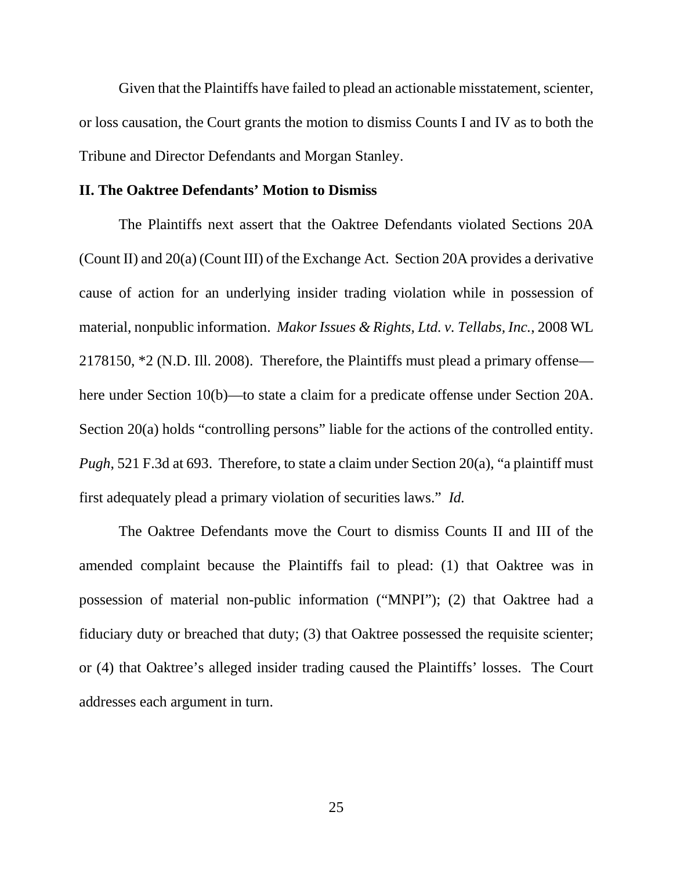Given that the Plaintiffs have failed to plead an actionable misstatement, scienter, or loss causation, the Court grants the motion to dismiss Counts I and IV as to both the Tribune and Director Defendants and Morgan Stanley.

## **II. The Oaktree Defendants' Motion to Dismiss**

The Plaintiffs next assert that the Oaktree Defendants violated Sections 20A (Count II) and 20(a) (Count III) of the Exchange Act. Section 20A provides a derivative cause of action for an underlying insider trading violation while in possession of material, nonpublic information. *Makor Issues & Rights, Ltd. v. Tellabs, Inc.*, 2008 WL 2178150, \*2 (N.D. Ill. 2008). Therefore, the Plaintiffs must plead a primary offense here under Section 10(b)—to state a claim for a predicate offense under Section 20A. Section 20(a) holds "controlling persons" liable for the actions of the controlled entity. *Pugh*, 521 F.3d at 693. Therefore, to state a claim under Section 20(a), "a plaintiff must first adequately plead a primary violation of securities laws." *Id.*

The Oaktree Defendants move the Court to dismiss Counts II and III of the amended complaint because the Plaintiffs fail to plead: (1) that Oaktree was in possession of material non-public information ("MNPI"); (2) that Oaktree had a fiduciary duty or breached that duty; (3) that Oaktree possessed the requisite scienter; or (4) that Oaktree's alleged insider trading caused the Plaintiffs' losses. The Court addresses each argument in turn.

25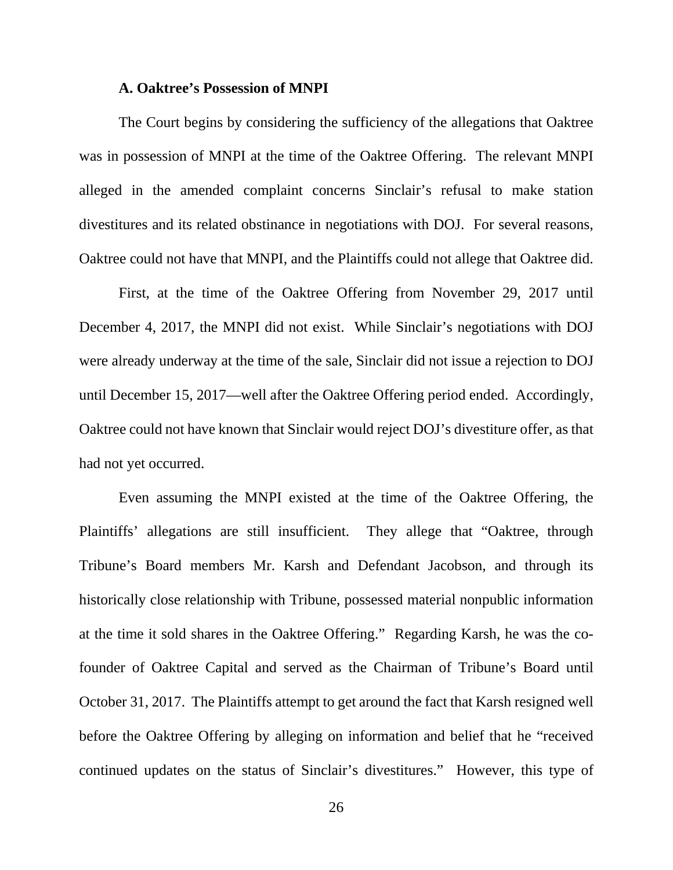#### **A. Oaktree's Possession of MNPI**

The Court begins by considering the sufficiency of the allegations that Oaktree was in possession of MNPI at the time of the Oaktree Offering. The relevant MNPI alleged in the amended complaint concerns Sinclair's refusal to make station divestitures and its related obstinance in negotiations with DOJ. For several reasons, Oaktree could not have that MNPI, and the Plaintiffs could not allege that Oaktree did.

First, at the time of the Oaktree Offering from November 29, 2017 until December 4, 2017, the MNPI did not exist. While Sinclair's negotiations with DOJ were already underway at the time of the sale, Sinclair did not issue a rejection to DOJ until December 15, 2017—well after the Oaktree Offering period ended. Accordingly, Oaktree could not have known that Sinclair would reject DOJ's divestiture offer, as that had not yet occurred.

Even assuming the MNPI existed at the time of the Oaktree Offering, the Plaintiffs' allegations are still insufficient. They allege that "Oaktree, through Tribune's Board members Mr. Karsh and Defendant Jacobson, and through its historically close relationship with Tribune, possessed material nonpublic information at the time it sold shares in the Oaktree Offering." Regarding Karsh, he was the cofounder of Oaktree Capital and served as the Chairman of Tribune's Board until October 31, 2017. The Plaintiffs attempt to get around the fact that Karsh resigned well before the Oaktree Offering by alleging on information and belief that he "received continued updates on the status of Sinclair's divestitures." However, this type of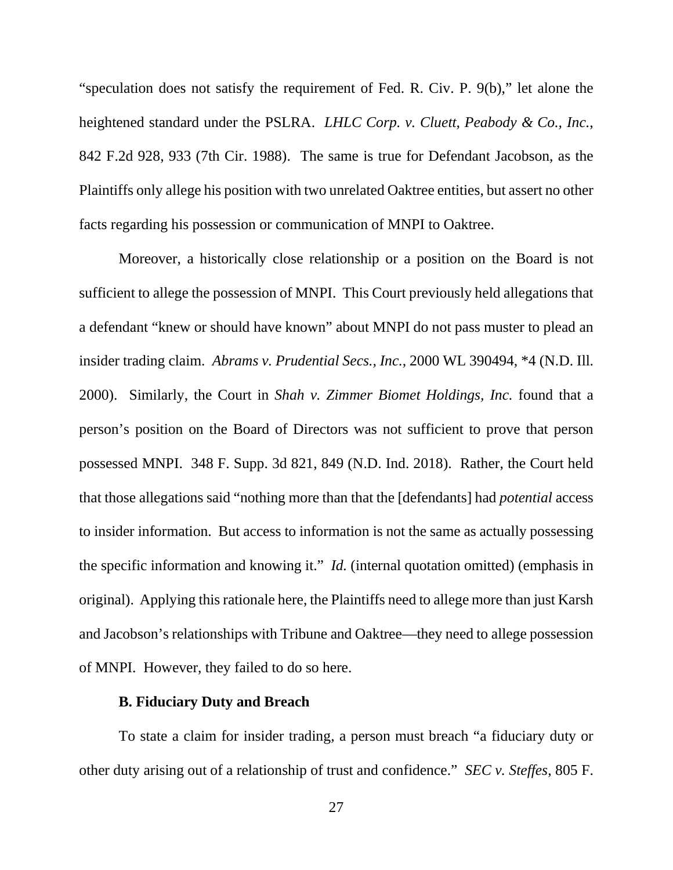"speculation does not satisfy the requirement of Fed. R. Civ. P. 9(b)," let alone the heightened standard under the PSLRA. *LHLC Corp. v. Cluett, Peabody & Co., Inc.*, 842 F.2d 928, 933 (7th Cir. 1988). The same is true for Defendant Jacobson, as the Plaintiffs only allege his position with two unrelated Oaktree entities, but assert no other facts regarding his possession or communication of MNPI to Oaktree.

Moreover, a historically close relationship or a position on the Board is not sufficient to allege the possession of MNPI. This Court previously held allegations that a defendant "knew or should have known" about MNPI do not pass muster to plead an insider trading claim. *Abrams v. Prudential Secs., Inc.*, 2000 WL 390494, \*4 (N.D. Ill. 2000). Similarly, the Court in *Shah v. Zimmer Biomet Holdings, Inc.* found that a person's position on the Board of Directors was not sufficient to prove that person possessed MNPI. 348 F. Supp. 3d 821, 849 (N.D. Ind. 2018). Rather, the Court held that those allegations said "nothing more than that the [defendants] had *potential* access to insider information. But access to information is not the same as actually possessing the specific information and knowing it." *Id.* (internal quotation omitted) (emphasis in original). Applying this rationale here, the Plaintiffs need to allege more than just Karsh and Jacobson's relationships with Tribune and Oaktree—they need to allege possession of MNPI. However, they failed to do so here.

# **B. Fiduciary Duty and Breach**

To state a claim for insider trading, a person must breach "a fiduciary duty or other duty arising out of a relationship of trust and confidence." *SEC v. Steffes*, 805 F.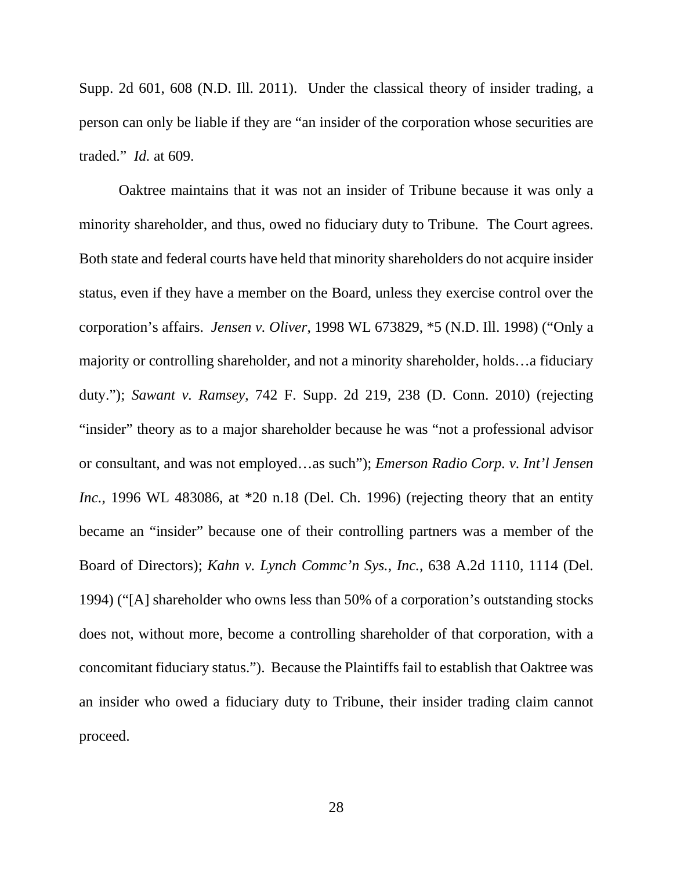Supp. 2d 601, 608 (N.D. Ill. 2011). Under the classical theory of insider trading, a person can only be liable if they are "an insider of the corporation whose securities are traded." *Id.* at 609.

Oaktree maintains that it was not an insider of Tribune because it was only a minority shareholder, and thus, owed no fiduciary duty to Tribune. The Court agrees. Both state and federal courts have held that minority shareholders do not acquire insider status, even if they have a member on the Board, unless they exercise control over the corporation's affairs. *Jensen v. Oliver*, 1998 WL 673829, \*5 (N.D. Ill. 1998) ("Only a majority or controlling shareholder, and not a minority shareholder, holds…a fiduciary duty."); *Sawant v. Ramsey*, 742 F. Supp. 2d 219, 238 (D. Conn. 2010) (rejecting "insider" theory as to a major shareholder because he was "not a professional advisor or consultant, and was not employed…as such"); *Emerson Radio Corp. v. Int'l Jensen Inc.*, 1996 WL 483086, at \*20 n.18 (Del. Ch. 1996) (rejecting theory that an entity became an "insider" because one of their controlling partners was a member of the Board of Directors); *Kahn v. Lynch Commc'n Sys., Inc.*, 638 A.2d 1110, 1114 (Del. 1994) ("[A] shareholder who owns less than 50% of a corporation's outstanding stocks does not, without more, become a controlling shareholder of that corporation, with a concomitant fiduciary status."). Because the Plaintiffs fail to establish that Oaktree was an insider who owed a fiduciary duty to Tribune, their insider trading claim cannot proceed.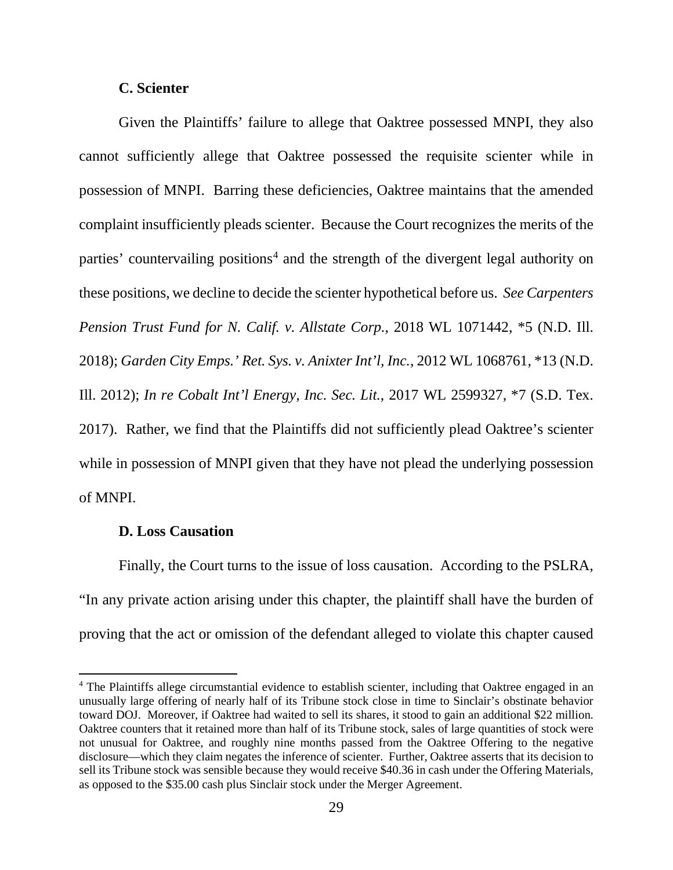# **C. Scienter**

Given the Plaintiffs' failure to allege that Oaktree possessed MNPI, they also cannot sufficiently allege that Oaktree possessed the requisite scienter while in possession of MNPI. Barring these deficiencies, Oaktree maintains that the amended complaint insufficiently pleads scienter. Because the Court recognizes the merits of the parties' countervailing positions<sup>[4](#page-28-0)</sup> and the strength of the divergent legal authority on these positions, we decline to decide the scienter hypothetical before us. *See Carpenters Pension Trust Fund for N. Calif. v. Allstate Corp.*, 2018 WL 1071442, \*5 (N.D. Ill. 2018); *Garden City Emps.' Ret. Sys. v. Anixter Int'l, Inc.*, 2012 WL 1068761, \*13 (N.D. Ill. 2012); *In re Cobalt Int'l Energy, Inc. Sec. Lit.*, 2017 WL 2599327, \*7 (S.D. Tex. 2017). Rather, we find that the Plaintiffs did not sufficiently plead Oaktree's scienter while in possession of MNPI given that they have not plead the underlying possession of MNPI.

### **D. Loss Causation**

l

Finally, the Court turns to the issue of loss causation. According to the PSLRA, "In any private action arising under this chapter, the plaintiff shall have the burden of proving that the act or omission of the defendant alleged to violate this chapter caused

<span id="page-28-0"></span><sup>4</sup> The Plaintiffs allege circumstantial evidence to establish scienter, including that Oaktree engaged in an unusually large offering of nearly half of its Tribune stock close in time to Sinclair's obstinate behavior toward DOJ. Moreover, if Oaktree had waited to sell its shares, it stood to gain an additional \$22 million. Oaktree counters that it retained more than half of its Tribune stock, sales of large quantities of stock were not unusual for Oaktree, and roughly nine months passed from the Oaktree Offering to the negative disclosure—which they claim negates the inference of scienter. Further, Oaktree asserts that its decision to sell its Tribune stock was sensible because they would receive \$40.36 in cash under the Offering Materials, as opposed to the \$35.00 cash plus Sinclair stock under the Merger Agreement.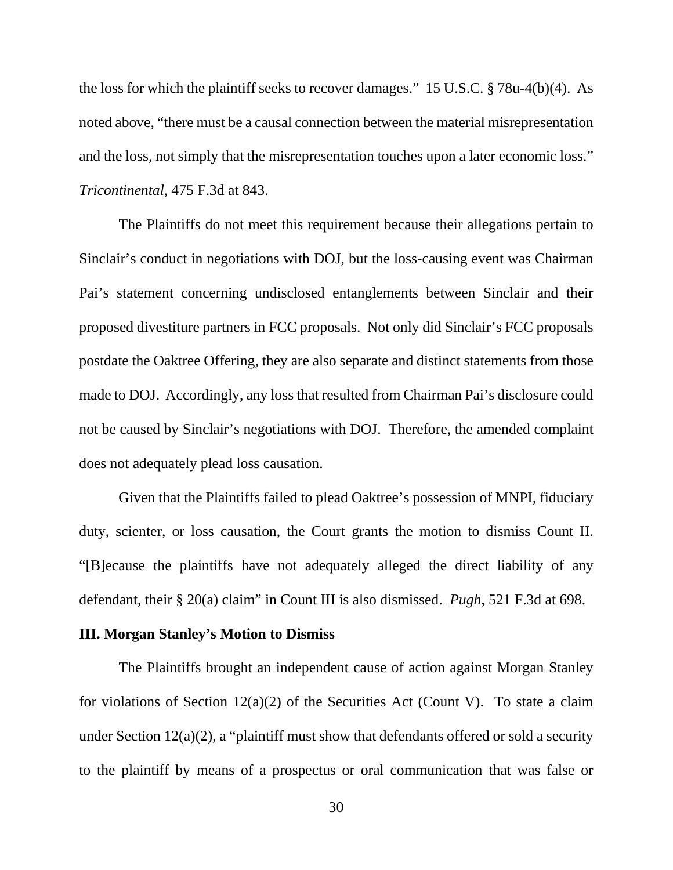the loss for which the plaintiff seeks to recover damages." 15 U.S.C. § 78u-4(b)(4). As noted above, "there must be a causal connection between the material misrepresentation and the loss, not simply that the misrepresentation touches upon a later economic loss." *Tricontinental*, 475 F.3d at 843.

The Plaintiffs do not meet this requirement because their allegations pertain to Sinclair's conduct in negotiations with DOJ, but the loss-causing event was Chairman Pai's statement concerning undisclosed entanglements between Sinclair and their proposed divestiture partners in FCC proposals. Not only did Sinclair's FCC proposals postdate the Oaktree Offering, they are also separate and distinct statements from those made to DOJ. Accordingly, any loss that resulted from Chairman Pai's disclosure could not be caused by Sinclair's negotiations with DOJ. Therefore, the amended complaint does not adequately plead loss causation.

Given that the Plaintiffs failed to plead Oaktree's possession of MNPI, fiduciary duty, scienter, or loss causation, the Court grants the motion to dismiss Count II. "[B]ecause the plaintiffs have not adequately alleged the direct liability of any defendant, their § 20(a) claim" in Count III is also dismissed. *Pugh*, 521 F.3d at 698.

### **III. Morgan Stanley's Motion to Dismiss**

The Plaintiffs brought an independent cause of action against Morgan Stanley for violations of Section  $12(a)(2)$  of the Securities Act (Count V). To state a claim under Section  $12(a)(2)$ , a "plaintiff must show that defendants offered or sold a security to the plaintiff by means of a prospectus or oral communication that was false or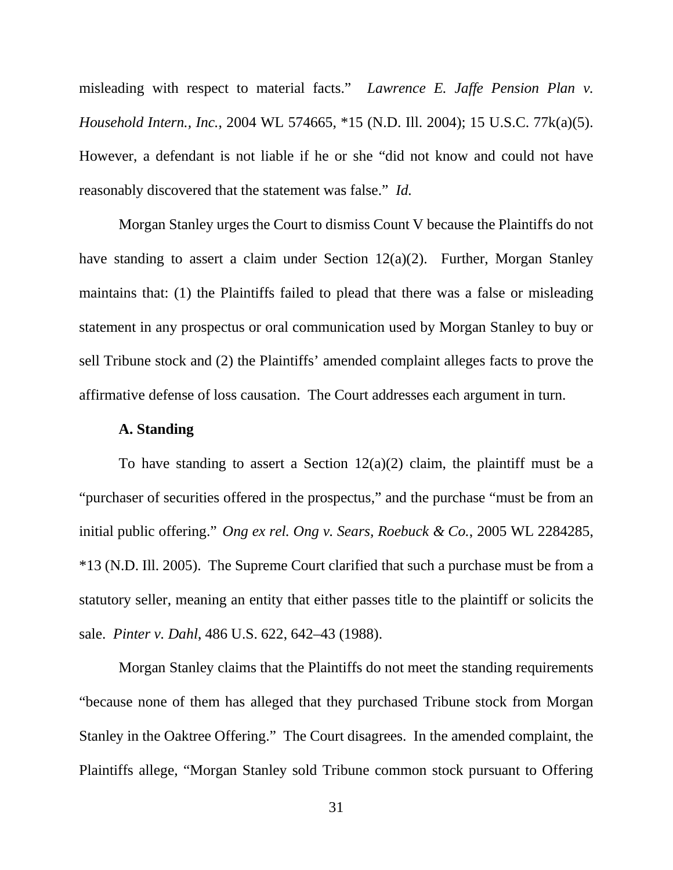misleading with respect to material facts." *Lawrence E. Jaffe Pension Plan v. Household Intern., Inc.*, 2004 WL 574665, \*15 (N.D. Ill. 2004); 15 U.S.C. 77k(a)(5). However, a defendant is not liable if he or she "did not know and could not have reasonably discovered that the statement was false." *Id.*

Morgan Stanley urges the Court to dismiss Count V because the Plaintiffs do not have standing to assert a claim under Section 12(a)(2). Further, Morgan Stanley maintains that: (1) the Plaintiffs failed to plead that there was a false or misleading statement in any prospectus or oral communication used by Morgan Stanley to buy or sell Tribune stock and (2) the Plaintiffs' amended complaint alleges facts to prove the affirmative defense of loss causation. The Court addresses each argument in turn.

#### **A. Standing**

To have standing to assert a Section  $12(a)(2)$  claim, the plaintiff must be a "purchaser of securities offered in the prospectus," and the purchase "must be from an initial public offering." *Ong ex rel. Ong v. Sears, Roebuck & Co.*, 2005 WL 2284285, \*13 (N.D. Ill. 2005). The Supreme Court clarified that such a purchase must be from a statutory seller, meaning an entity that either passes title to the plaintiff or solicits the sale. *Pinter v. Dahl*, 486 U.S. 622, 642–43 (1988).

Morgan Stanley claims that the Plaintiffs do not meet the standing requirements "because none of them has alleged that they purchased Tribune stock from Morgan Stanley in the Oaktree Offering." The Court disagrees. In the amended complaint, the Plaintiffs allege, "Morgan Stanley sold Tribune common stock pursuant to Offering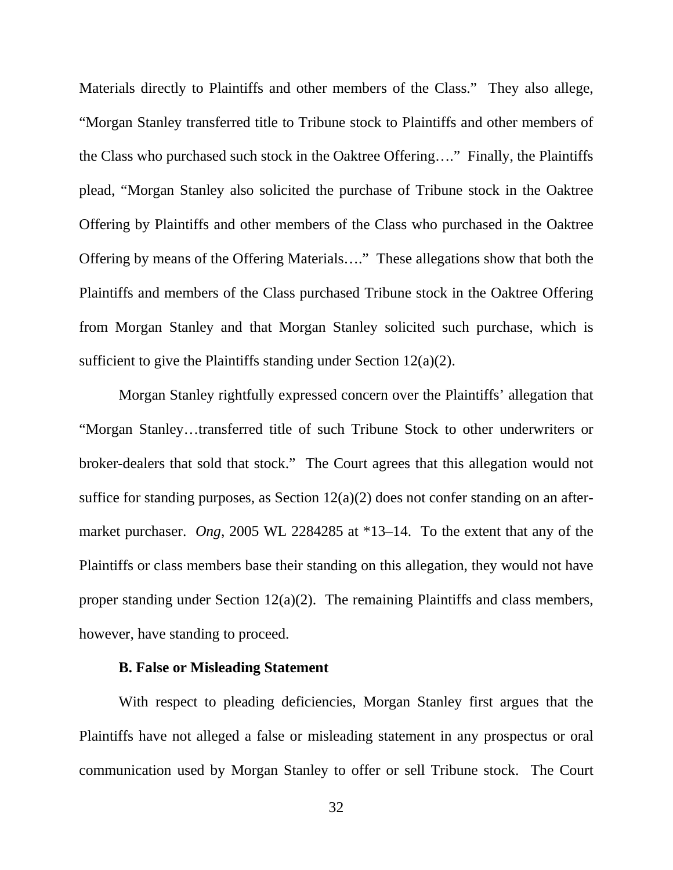Materials directly to Plaintiffs and other members of the Class." They also allege, "Morgan Stanley transferred title to Tribune stock to Plaintiffs and other members of the Class who purchased such stock in the Oaktree Offering…." Finally, the Plaintiffs plead, "Morgan Stanley also solicited the purchase of Tribune stock in the Oaktree Offering by Plaintiffs and other members of the Class who purchased in the Oaktree Offering by means of the Offering Materials…." These allegations show that both the Plaintiffs and members of the Class purchased Tribune stock in the Oaktree Offering from Morgan Stanley and that Morgan Stanley solicited such purchase, which is sufficient to give the Plaintiffs standing under Section 12(a)(2).

Morgan Stanley rightfully expressed concern over the Plaintiffs' allegation that "Morgan Stanley…transferred title of such Tribune Stock to other underwriters or broker-dealers that sold that stock." The Court agrees that this allegation would not suffice for standing purposes, as Section 12(a)(2) does not confer standing on an aftermarket purchaser. *Ong*, 2005 WL 2284285 at \*13–14. To the extent that any of the Plaintiffs or class members base their standing on this allegation, they would not have proper standing under Section 12(a)(2). The remaining Plaintiffs and class members, however, have standing to proceed.

### **B. False or Misleading Statement**

With respect to pleading deficiencies, Morgan Stanley first argues that the Plaintiffs have not alleged a false or misleading statement in any prospectus or oral communication used by Morgan Stanley to offer or sell Tribune stock. The Court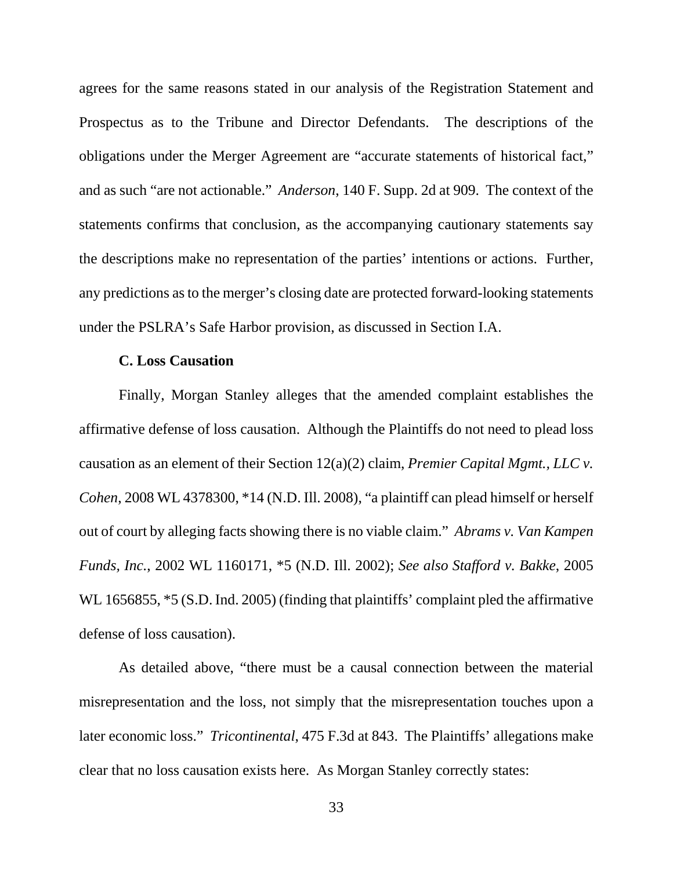agrees for the same reasons stated in our analysis of the Registration Statement and Prospectus as to the Tribune and Director Defendants. The descriptions of the obligations under the Merger Agreement are "accurate statements of historical fact," and as such "are not actionable." *Anderson*, 140 F. Supp. 2d at 909. The context of the statements confirms that conclusion, as the accompanying cautionary statements say the descriptions make no representation of the parties' intentions or actions. Further, any predictions as to the merger's closing date are protected forward-looking statements under the PSLRA's Safe Harbor provision, as discussed in Section I.A.

#### **C. Loss Causation**

Finally, Morgan Stanley alleges that the amended complaint establishes the affirmative defense of loss causation. Although the Plaintiffs do not need to plead loss causation as an element of their Section 12(a)(2) claim, *Premier Capital Mgmt., LLC v. Cohen*, 2008 WL 4378300, \*14 (N.D. Ill. 2008), "a plaintiff can plead himself or herself out of court by alleging facts showing there is no viable claim." *Abrams v. Van Kampen Funds, Inc.*, 2002 WL 1160171, \*5 (N.D. Ill. 2002); *See also Stafford v. Bakke*, 2005 WL 1656855,  $*5$  (S.D. Ind. 2005) (finding that plaintiffs' complaint pled the affirmative defense of loss causation).

As detailed above, "there must be a causal connection between the material misrepresentation and the loss, not simply that the misrepresentation touches upon a later economic loss." *Tricontinental*, 475 F.3d at 843. The Plaintiffs' allegations make clear that no loss causation exists here. As Morgan Stanley correctly states: